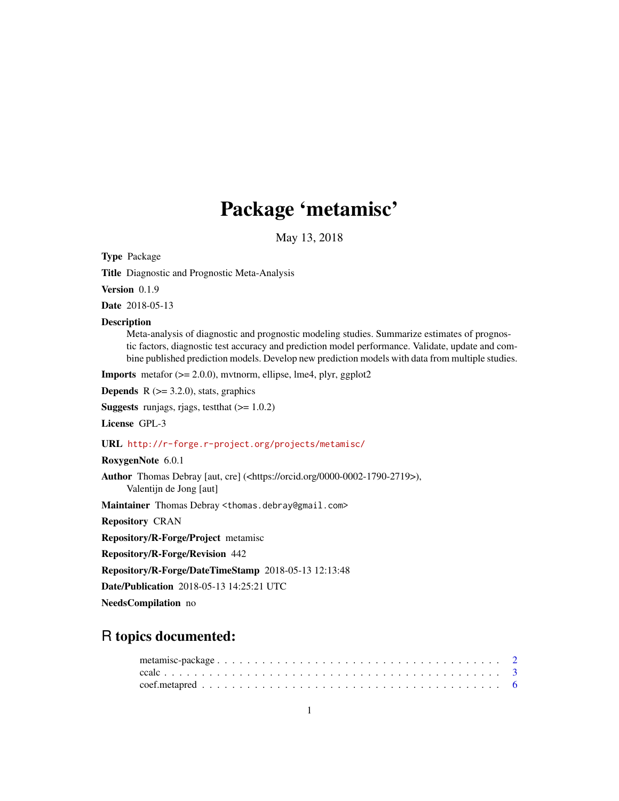# Package 'metamisc'

May 13, 2018

<span id="page-0-0"></span>Type Package

Title Diagnostic and Prognostic Meta-Analysis

Version 0.1.9

Date 2018-05-13

#### Description

Meta-analysis of diagnostic and prognostic modeling studies. Summarize estimates of prognostic factors, diagnostic test accuracy and prediction model performance. Validate, update and combine published prediction models. Develop new prediction models with data from multiple studies.

**Imports** metafor  $(>= 2.0.0)$ , mythorm, ellipse, lme4, plyr, ggplot2

**Depends**  $R$  ( $>= 3.2.0$ ), stats, graphics

**Suggests** runjags, rjags, test that  $(>= 1.0.2)$ 

License GPL-3

# URL <http://r-forge.r-project.org/projects/metamisc/>

RoxygenNote 6.0.1

Author Thomas Debray [aut, cre] (<https://orcid.org/0000-0002-1790-2719>), Valentijn de Jong [aut]

Maintainer Thomas Debray <thomas.debray@gmail.com>

Repository CRAN

Repository/R-Forge/Project metamisc

Repository/R-Forge/Revision 442

Repository/R-Forge/DateTimeStamp 2018-05-13 12:13:48

Date/Publication 2018-05-13 14:25:21 UTC

NeedsCompilation no

# R topics documented: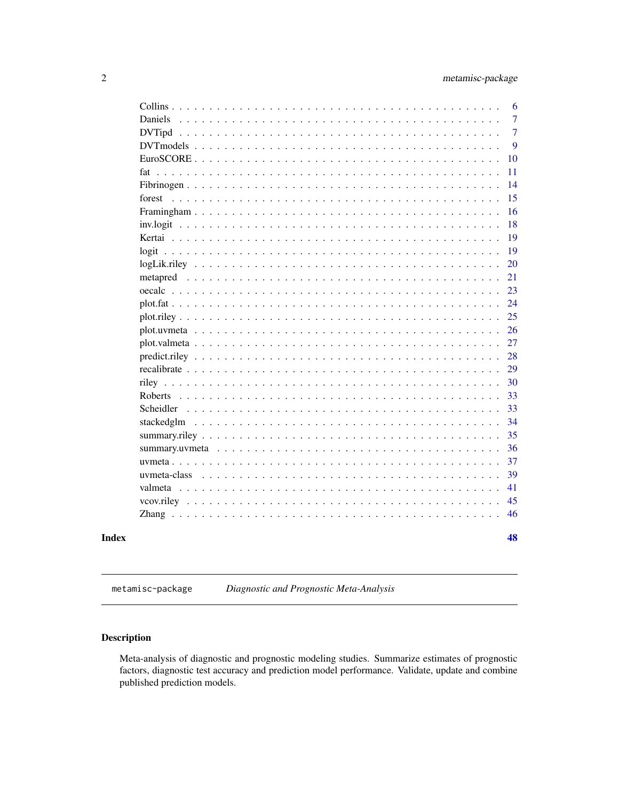<span id="page-1-0"></span>

|              |  | 6              |
|--------------|--|----------------|
|              |  | $\overline{7}$ |
|              |  | $\overline{7}$ |
|              |  | 9              |
|              |  | 10             |
|              |  | 11             |
|              |  | 14             |
| forest       |  | 15             |
|              |  | 16             |
|              |  | 18             |
|              |  | 19             |
|              |  | 19             |
|              |  | 20             |
|              |  | 21             |
|              |  | 23             |
|              |  | 24             |
|              |  | 25             |
|              |  | 26             |
|              |  | 27             |
|              |  | 28             |
|              |  | 29             |
|              |  | 30             |
|              |  | 33             |
|              |  | 33             |
|              |  | 34             |
|              |  | 35             |
|              |  | 36             |
|              |  | 37             |
| uvmeta-class |  | 39             |
|              |  | 41             |
|              |  | 45             |
|              |  | 46             |
|              |  | 48             |
|              |  |                |

metamisc-package *Diagnostic and Prognostic Meta-Analysis*

# Description

Meta-analysis of diagnostic and prognostic modeling studies. Summarize estimates of prognostic factors, diagnostic test accuracy and prediction model performance. Validate, update and combine published prediction models.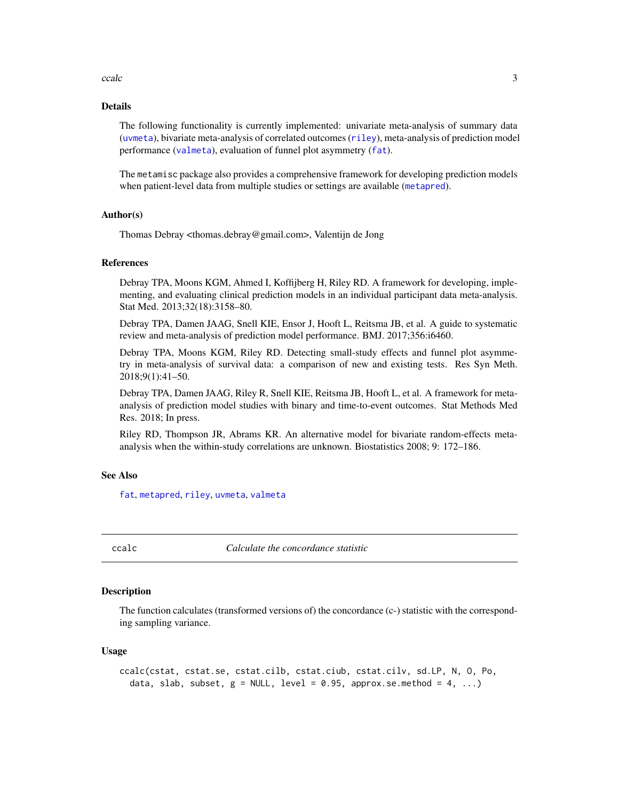#### <span id="page-2-0"></span>ccalc 3

#### Details

The following functionality is currently implemented: univariate meta-analysis of summary data ([uvmeta](#page-36-1)), bivariate meta-analysis of correlated outcomes ([riley](#page-29-1)), meta-analysis of prediction model performance ([valmeta](#page-40-1)), evaluation of funnel plot asymmetry ([fat](#page-10-1)).

The metamisc package also provides a comprehensive framework for developing prediction models when patient-level data from multiple studies or settings are available ([metapred](#page-20-1)).

## Author(s)

Thomas Debray <thomas.debray@gmail.com>, Valentijn de Jong

# References

Debray TPA, Moons KGM, Ahmed I, Koffijberg H, Riley RD. A framework for developing, implementing, and evaluating clinical prediction models in an individual participant data meta-analysis. Stat Med. 2013;32(18):3158–80.

Debray TPA, Damen JAAG, Snell KIE, Ensor J, Hooft L, Reitsma JB, et al. A guide to systematic review and meta-analysis of prediction model performance. BMJ. 2017;356:i6460.

Debray TPA, Moons KGM, Riley RD. Detecting small-study effects and funnel plot asymmetry in meta-analysis of survival data: a comparison of new and existing tests. Res Syn Meth. 2018;9(1):41–50.

Debray TPA, Damen JAAG, Riley R, Snell KIE, Reitsma JB, Hooft L, et al. A framework for metaanalysis of prediction model studies with binary and time-to-event outcomes. Stat Methods Med Res. 2018; In press.

Riley RD, Thompson JR, Abrams KR. An alternative model for bivariate random-effects metaanalysis when the within-study correlations are unknown. Biostatistics 2008; 9: 172–186.

#### See Also

[fat](#page-10-1), [metapred](#page-20-1), [riley](#page-29-1), [uvmeta](#page-36-1), [valmeta](#page-40-1)

<span id="page-2-1"></span>

ccalc *Calculate the concordance statistic*

#### Description

The function calculates (transformed versions of) the concordance (c-) statistic with the corresponding sampling variance.

#### Usage

```
ccalc(cstat, cstat.se, cstat.cilb, cstat.ciub, cstat.cilv, sd.LP, N, O, Po,
  data, slab, subset, g = NULL, level = 0.95, approx.se.method = 4, ...)
```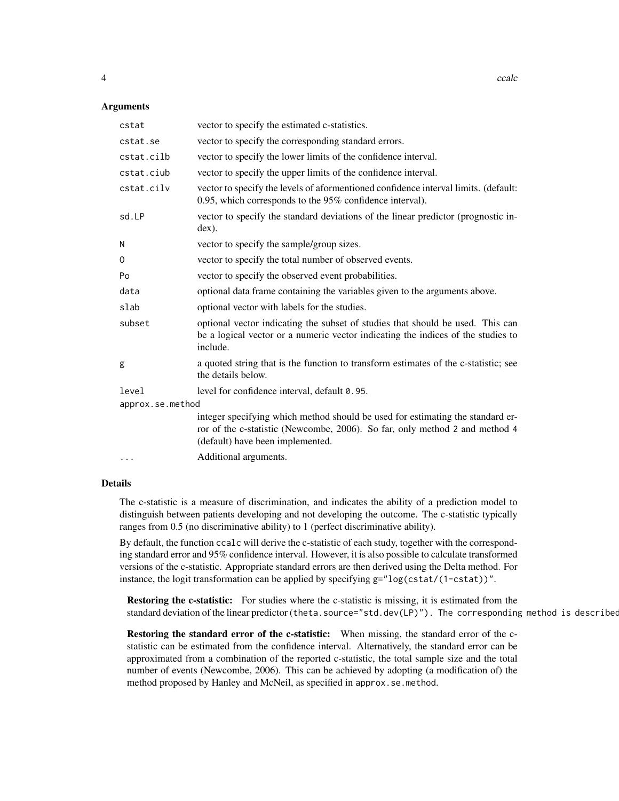#### Arguments

| cstat            | vector to specify the estimated c-statistics.                                                                                                                                                     |
|------------------|---------------------------------------------------------------------------------------------------------------------------------------------------------------------------------------------------|
| cstat.se         | vector to specify the corresponding standard errors.                                                                                                                                              |
| cstat.cilb       | vector to specify the lower limits of the confidence interval.                                                                                                                                    |
| cstat.ciub       | vector to specify the upper limits of the confidence interval.                                                                                                                                    |
| cstat.cilv       | vector to specify the levels of aformentioned confidence interval limits. (default:<br>0.95, which corresponds to the 95% confidence interval).                                                   |
| sd.LP            | vector to specify the standard deviations of the linear predictor (prognostic in-<br>$dex$ ).                                                                                                     |
| N                | vector to specify the sample/group sizes.                                                                                                                                                         |
| $\Omega$         | vector to specify the total number of observed events.                                                                                                                                            |
| Po               | vector to specify the observed event probabilities.                                                                                                                                               |
| data             | optional data frame containing the variables given to the arguments above.                                                                                                                        |
| slab             | optional vector with labels for the studies.                                                                                                                                                      |
| subset           | optional vector indicating the subset of studies that should be used. This can<br>be a logical vector or a numeric vector indicating the indices of the studies to<br>include.                    |
| g                | a quoted string that is the function to transform estimates of the c-statistic; see<br>the details below.                                                                                         |
| level            | level for confidence interval, default 0.95.                                                                                                                                                      |
| approx.se.method |                                                                                                                                                                                                   |
|                  | integer specifying which method should be used for estimating the standard er-<br>ror of the c-statistic (Newcombe, 2006). So far, only method 2 and method 4<br>(default) have been implemented. |
| $\cdots$         | Additional arguments.                                                                                                                                                                             |

# Details

The c-statistic is a measure of discrimination, and indicates the ability of a prediction model to distinguish between patients developing and not developing the outcome. The c-statistic typically ranges from 0.5 (no discriminative ability) to 1 (perfect discriminative ability).

By default, the function ccalc will derive the c-statistic of each study, together with the corresponding standard error and 95% confidence interval. However, it is also possible to calculate transformed versions of the c-statistic. Appropriate standard errors are then derived using the Delta method. For instance, the logit transformation can be applied by specifying g="log(cstat/(1-cstat))".

Restoring the c-statistic: For studies where the c-statistic is missing, it is estimated from the standard deviation of the linear predictor (theta.source="std.dev(LP)"). The corresponding method is described

Restoring the standard error of the c-statistic: When missing, the standard error of the cstatistic can be estimated from the confidence interval. Alternatively, the standard error can be approximated from a combination of the reported c-statistic, the total sample size and the total number of events (Newcombe, 2006). This can be achieved by adopting (a modification of) the method proposed by Hanley and McNeil, as specified in approx.se.method.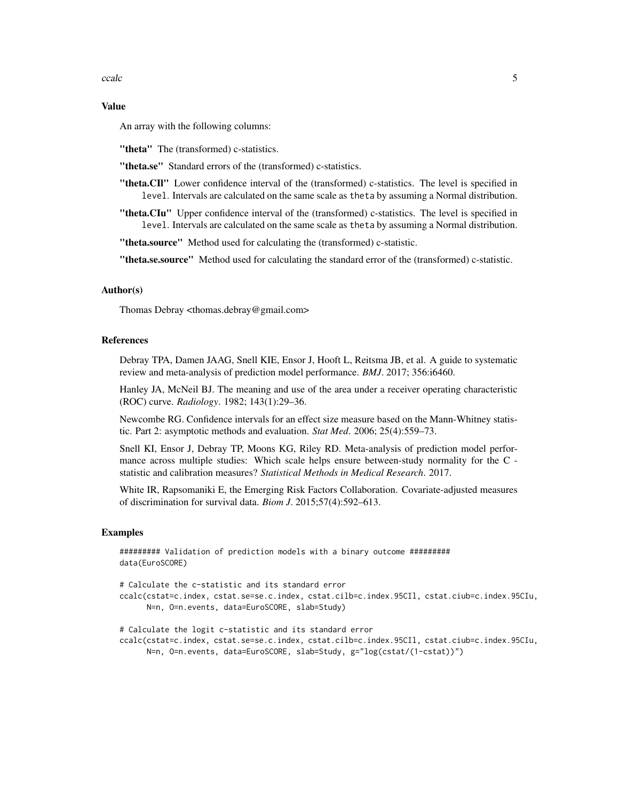ccalc 5

# Value

An array with the following columns:

"theta" The (transformed) c-statistics.

"theta.se" Standard errors of the (transformed) c-statistics.

- "theta.CIl" Lower confidence interval of the (transformed) c-statistics. The level is specified in level. Intervals are calculated on the same scale as theta by assuming a Normal distribution.
- "theta.CIu" Upper confidence interval of the (transformed) c-statistics. The level is specified in level. Intervals are calculated on the same scale as theta by assuming a Normal distribution.

"theta.source" Method used for calculating the (transformed) c-statistic.

"theta.se.source" Method used for calculating the standard error of the (transformed) c-statistic.

#### Author(s)

Thomas Debray <thomas.debray@gmail.com>

## References

Debray TPA, Damen JAAG, Snell KIE, Ensor J, Hooft L, Reitsma JB, et al. A guide to systematic review and meta-analysis of prediction model performance. *BMJ*. 2017; 356:i6460.

Hanley JA, McNeil BJ. The meaning and use of the area under a receiver operating characteristic (ROC) curve. *Radiology*. 1982; 143(1):29–36.

Newcombe RG. Confidence intervals for an effect size measure based on the Mann-Whitney statistic. Part 2: asymptotic methods and evaluation. *Stat Med*. 2006; 25(4):559–73.

Snell KI, Ensor J, Debray TP, Moons KG, Riley RD. Meta-analysis of prediction model performance across multiple studies: Which scale helps ensure between-study normality for the C statistic and calibration measures? *Statistical Methods in Medical Research*. 2017.

White IR, Rapsomaniki E, the Emerging Risk Factors Collaboration. Covariate-adjusted measures of discrimination for survival data. *Biom J*. 2015;57(4):592–613.

#### Examples

######### Validation of prediction models with a binary outcome ######### data(EuroSCORE)

# Calculate the c-statistic and its standard error ccalc(cstat=c.index, cstat.se=se.c.index, cstat.cilb=c.index.95CIl, cstat.ciub=c.index.95CIu, N=n, O=n.events, data=EuroSCORE, slab=Study)

# Calculate the logit c-statistic and its standard error ccalc(cstat=c.index, cstat.se=se.c.index, cstat.cilb=c.index.95CIl, cstat.ciub=c.index.95CIu, N=n, O=n.events, data=EuroSCORE, slab=Study, g="log(cstat/(1-cstat))")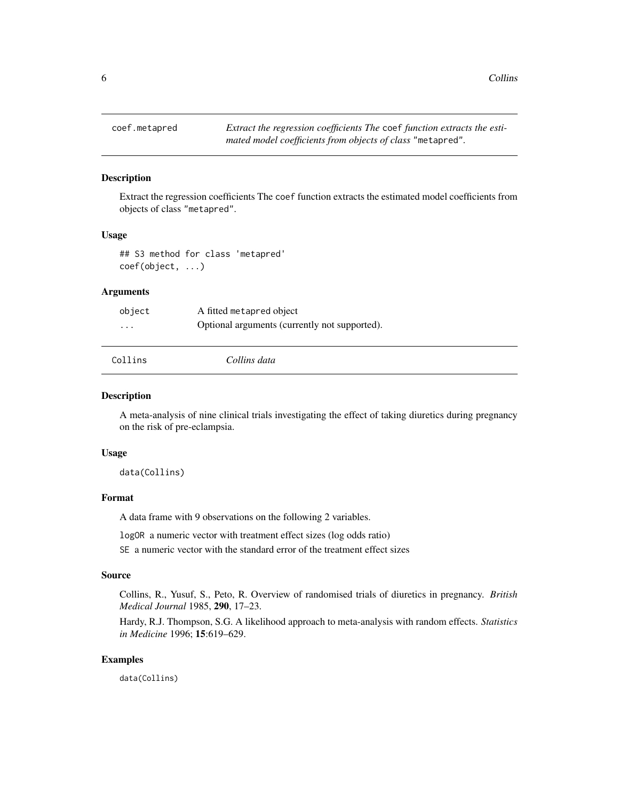<span id="page-5-0"></span>

# Description

Extract the regression coefficients The coef function extracts the estimated model coefficients from objects of class "metapred".

#### Usage

## S3 method for class 'metapred' coef(object, ...)

# Arguments

| object   | A fitted metapred object                      |
|----------|-----------------------------------------------|
| $\cdots$ | Optional arguments (currently not supported). |
| Collins  | Collins data                                  |

## Description

A meta-analysis of nine clinical trials investigating the effect of taking diuretics during pregnancy on the risk of pre-eclampsia.

#### Usage

data(Collins)

# Format

A data frame with 9 observations on the following 2 variables.

logOR a numeric vector with treatment effect sizes (log odds ratio)

SE a numeric vector with the standard error of the treatment effect sizes

#### Source

Collins, R., Yusuf, S., Peto, R. Overview of randomised trials of diuretics in pregnancy. *British Medical Journal* 1985, 290, 17–23.

Hardy, R.J. Thompson, S.G. A likelihood approach to meta-analysis with random effects. *Statistics in Medicine* 1996; 15:619–629.

#### Examples

data(Collins)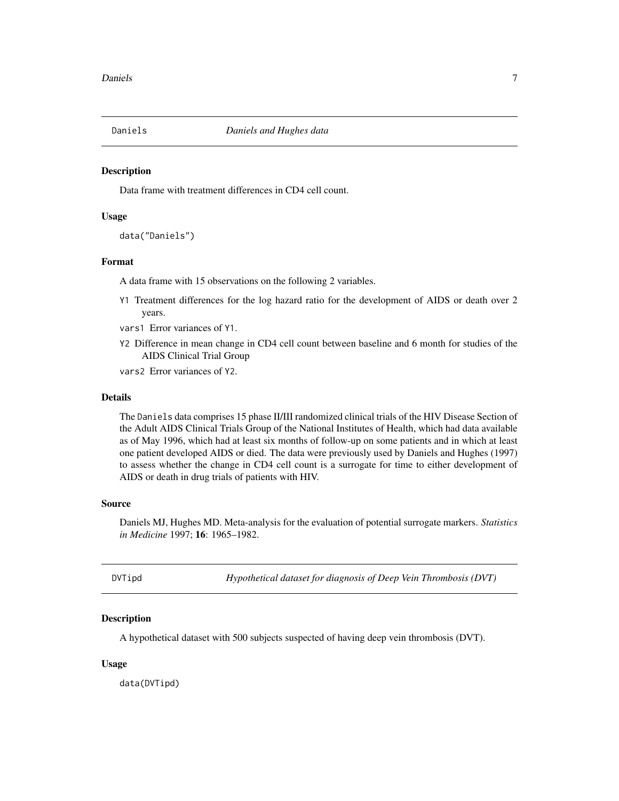<span id="page-6-0"></span>

#### Description

Data frame with treatment differences in CD4 cell count.

#### Usage

data("Daniels")

# Format

A data frame with 15 observations on the following 2 variables.

- Y1 Treatment differences for the log hazard ratio for the development of AIDS or death over 2 years.
- vars1 Error variances of Y1.
- Y2 Difference in mean change in CD4 cell count between baseline and 6 month for studies of the AIDS Clinical Trial Group
- vars2 Error variances of Y2.

#### Details

The Daniels data comprises 15 phase II/III randomized clinical trials of the HIV Disease Section of the Adult AIDS Clinical Trials Group of the National Institutes of Health, which had data available as of May 1996, which had at least six months of follow-up on some patients and in which at least one patient developed AIDS or died. The data were previously used by Daniels and Hughes (1997) to assess whether the change in CD4 cell count is a surrogate for time to either development of AIDS or death in drug trials of patients with HIV.

#### Source

Daniels MJ, Hughes MD. Meta-analysis for the evaluation of potential surrogate markers. *Statistics in Medicine* 1997; 16: 1965–1982.

<span id="page-6-1"></span>DVTipd *Hypothetical dataset for diagnosis of Deep Vein Thrombosis (DVT)*

# **Description**

A hypothetical dataset with 500 subjects suspected of having deep vein thrombosis (DVT).

#### Usage

data(DVTipd)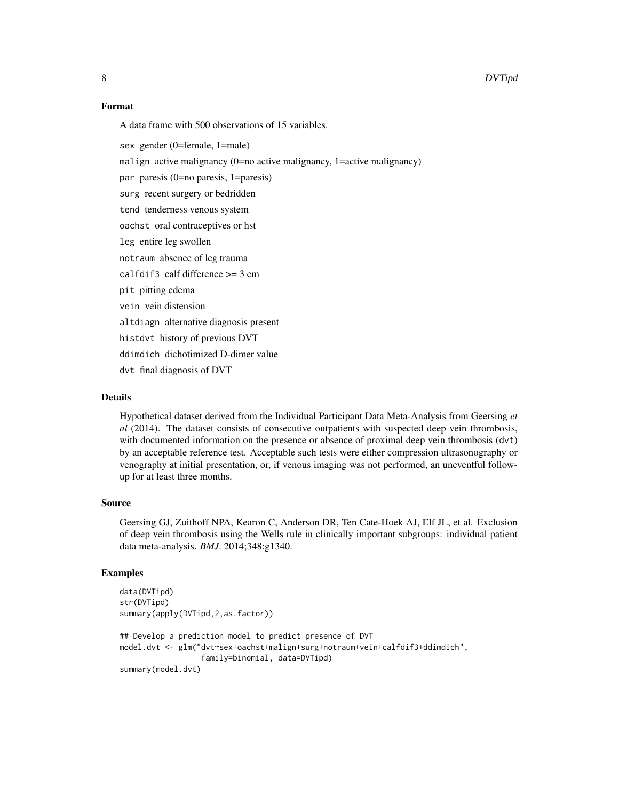#### Format

A data frame with 500 observations of 15 variables.

sex gender (0=female, 1=male)

malign active malignancy (0=no active malignancy, 1=active malignancy)

par paresis (0=no paresis, 1=paresis)

surg recent surgery or bedridden

tend tenderness venous system

oachst oral contraceptives or hst

- leg entire leg swollen
- notraum absence of leg trauma
- calfdif3 calf difference >= 3 cm
- pit pitting edema
- vein vein distension
- altdiagn alternative diagnosis present

histdvt history of previous DVT

ddimdich dichotimized D-dimer value

dvt final diagnosis of DVT

#### Details

Hypothetical dataset derived from the Individual Participant Data Meta-Analysis from Geersing *et al* (2014). The dataset consists of consecutive outpatients with suspected deep vein thrombosis, with documented information on the presence or absence of proximal deep vein thrombosis (dvt) by an acceptable reference test. Acceptable such tests were either compression ultrasonography or venography at initial presentation, or, if venous imaging was not performed, an uneventful followup for at least three months.

#### Source

Geersing GJ, Zuithoff NPA, Kearon C, Anderson DR, Ten Cate-Hoek AJ, Elf JL, et al. Exclusion of deep vein thrombosis using the Wells rule in clinically important subgroups: individual patient data meta-analysis. *BMJ*. 2014;348:g1340.

#### Examples

```
data(DVTipd)
str(DVTipd)
summary(apply(DVTipd,2,as.factor))
## Develop a prediction model to predict presence of DVT
model.dvt <- glm("dvt~sex+oachst+malign+surg+notraum+vein+calfdif3+ddimdich",
                  family=binomial, data=DVTipd)
summary(model.dvt)
```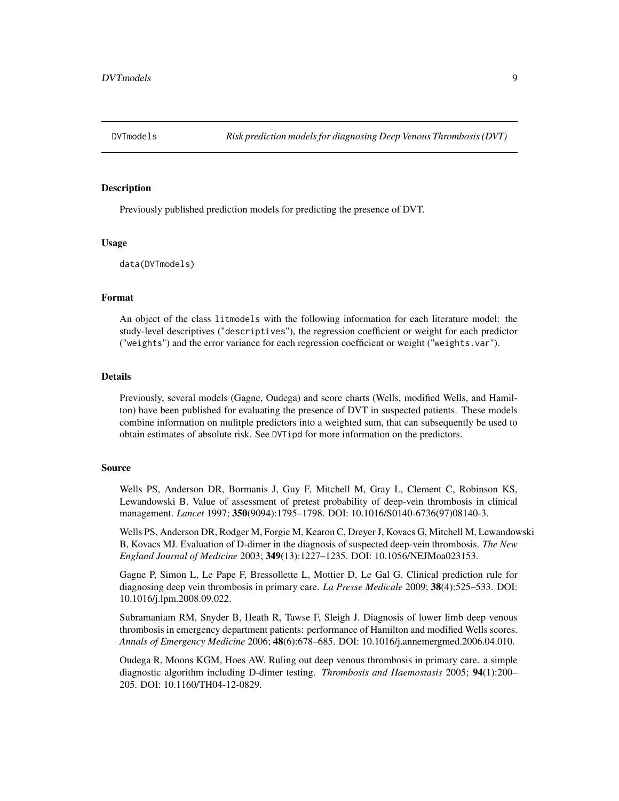<span id="page-8-0"></span>

#### Description

Previously published prediction models for predicting the presence of DVT.

#### Usage

data(DVTmodels)

#### Format

An object of the class litmodels with the following information for each literature model: the study-level descriptives ("descriptives"), the regression coefficient or weight for each predictor ("weights") and the error variance for each regression coefficient or weight ("weights.var").

#### Details

Previously, several models (Gagne, Oudega) and score charts (Wells, modified Wells, and Hamilton) have been published for evaluating the presence of DVT in suspected patients. These models combine information on mulitple predictors into a weighted sum, that can subsequently be used to obtain estimates of absolute risk. See DVTipd for more information on the predictors.

#### Source

Wells PS, Anderson DR, Bormanis J, Guy F, Mitchell M, Gray L, Clement C, Robinson KS, Lewandowski B. Value of assessment of pretest probability of deep-vein thrombosis in clinical management. *Lancet* 1997; 350(9094):1795–1798. DOI: 10.1016/S0140-6736(97)08140-3.

Wells PS, Anderson DR, Rodger M, Forgie M, Kearon C, Dreyer J, Kovacs G, Mitchell M, Lewandowski B, Kovacs MJ. Evaluation of D-dimer in the diagnosis of suspected deep-vein thrombosis. *The New England Journal of Medicine* 2003; 349(13):1227–1235. DOI: 10.1056/NEJMoa023153.

Gagne P, Simon L, Le Pape F, Bressollette L, Mottier D, Le Gal G. Clinical prediction rule for diagnosing deep vein thrombosis in primary care. *La Presse Medicale* 2009; 38(4):525–533. DOI: 10.1016/j.lpm.2008.09.022.

Subramaniam RM, Snyder B, Heath R, Tawse F, Sleigh J. Diagnosis of lower limb deep venous thrombosis in emergency department patients: performance of Hamilton and modified Wells scores. *Annals of Emergency Medicine* 2006; 48(6):678–685. DOI: 10.1016/j.annemergmed.2006.04.010.

Oudega R, Moons KGM, Hoes AW. Ruling out deep venous thrombosis in primary care. a simple diagnostic algorithm including D-dimer testing. *Thrombosis and Haemostasis* 2005; 94(1):200– 205. DOI: 10.1160/TH04-12-0829.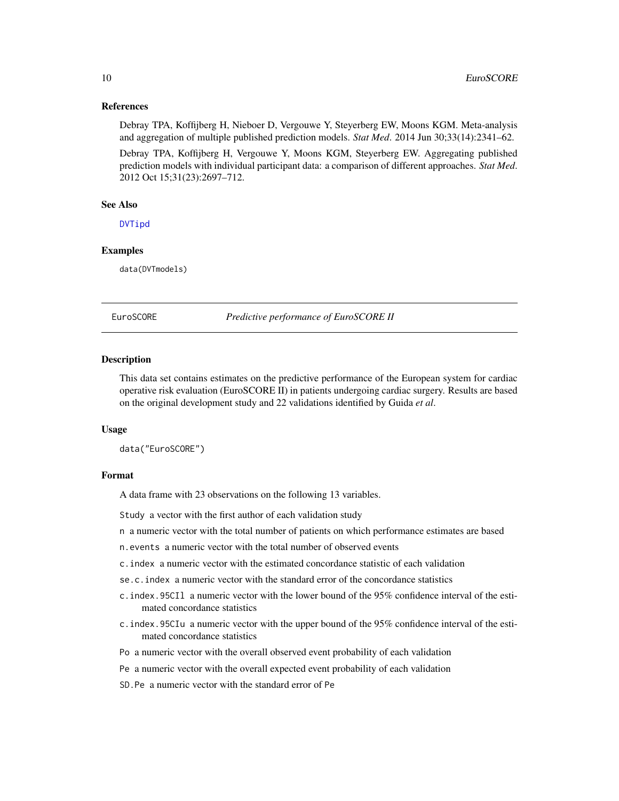#### <span id="page-9-0"></span>References

Debray TPA, Koffijberg H, Nieboer D, Vergouwe Y, Steyerberg EW, Moons KGM. Meta-analysis and aggregation of multiple published prediction models. *Stat Med*. 2014 Jun 30;33(14):2341–62.

Debray TPA, Koffijberg H, Vergouwe Y, Moons KGM, Steyerberg EW. Aggregating published prediction models with individual participant data: a comparison of different approaches. *Stat Med*. 2012 Oct 15;31(23):2697–712.

#### See Also

[DVTipd](#page-6-1)

#### Examples

data(DVTmodels)

EuroSCORE *Predictive performance of EuroSCORE II*

#### Description

This data set contains estimates on the predictive performance of the European system for cardiac operative risk evaluation (EuroSCORE II) in patients undergoing cardiac surgery. Results are based on the original development study and 22 validations identified by Guida *et al*.

#### Usage

data("EuroSCORE")

#### Format

A data frame with 23 observations on the following 13 variables.

Study a vector with the first author of each validation study

- n a numeric vector with the total number of patients on which performance estimates are based
- n.events a numeric vector with the total number of observed events
- c.index a numeric vector with the estimated concordance statistic of each validation
- se.c.index a numeric vector with the standard error of the concordance statistics
- c.index.95CIl a numeric vector with the lower bound of the 95% confidence interval of the estimated concordance statistics
- c.index.95CIu a numeric vector with the upper bound of the 95% confidence interval of the estimated concordance statistics
- Po a numeric vector with the overall observed event probability of each validation
- Pe a numeric vector with the overall expected event probability of each validation
- SD.Pe a numeric vector with the standard error of Pe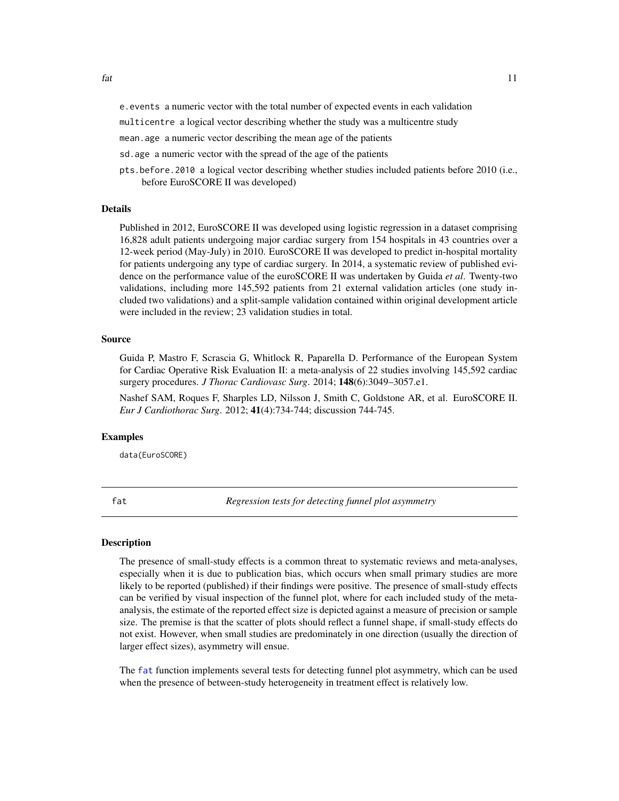<span id="page-10-0"></span>e.events a numeric vector with the total number of expected events in each validation

multicentre a logical vector describing whether the study was a multicentre study

mean.age a numeric vector describing the mean age of the patients

sd.age a numeric vector with the spread of the age of the patients

pts.before.2010 a logical vector describing whether studies included patients before 2010 (i.e., before EuroSCORE II was developed)

#### Details

Published in 2012, EuroSCORE II was developed using logistic regression in a dataset comprising 16,828 adult patients undergoing major cardiac surgery from 154 hospitals in 43 countries over a 12-week period (May-July) in 2010. EuroSCORE II was developed to predict in-hospital mortality for patients undergoing any type of cardiac surgery. In 2014, a systematic review of published evidence on the performance value of the euroSCORE II was undertaken by Guida *et al*. Twenty-two validations, including more 145,592 patients from 21 external validation articles (one study included two validations) and a split-sample validation contained within original development article were included in the review; 23 validation studies in total.

# Source

Guida P, Mastro F, Scrascia G, Whitlock R, Paparella D. Performance of the European System for Cardiac Operative Risk Evaluation II: a meta-analysis of 22 studies involving 145,592 cardiac surgery procedures. *J Thorac Cardiovasc Surg*. 2014; 148(6):3049–3057.e1.

Nashef SAM, Roques F, Sharples LD, Nilsson J, Smith C, Goldstone AR, et al. EuroSCORE II. *Eur J Cardiothorac Surg*. 2012; 41(4):734-744; discussion 744-745.

#### Examples

data(EuroSCORE)

<span id="page-10-1"></span>fat *Regression tests for detecting funnel plot asymmetry*

#### **Description**

The presence of small-study effects is a common threat to systematic reviews and meta-analyses, especially when it is due to publication bias, which occurs when small primary studies are more likely to be reported (published) if their findings were positive. The presence of small-study effects can be verified by visual inspection of the funnel plot, where for each included study of the metaanalysis, the estimate of the reported effect size is depicted against a measure of precision or sample size. The premise is that the scatter of plots should reflect a funnel shape, if small-study effects do not exist. However, when small studies are predominately in one direction (usually the direction of larger effect sizes), asymmetry will ensue.

The [fat](#page-10-1) function implements several tests for detecting funnel plot asymmetry, which can be used when the presence of between-study heterogeneity in treatment effect is relatively low.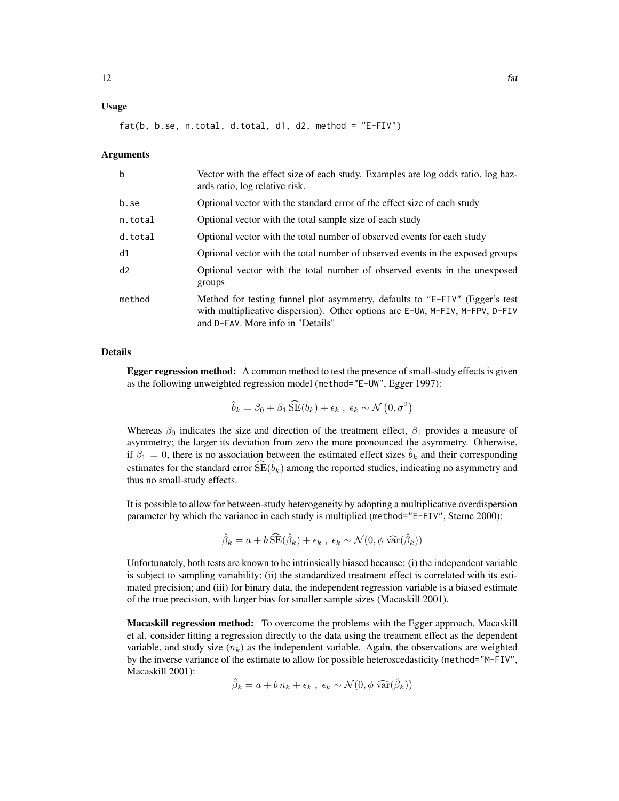# Usage

 $fat(b, b.se, n. total, d. total, d1, d2, method = "E-FIV")$ 

#### Arguments

| $\mathbf b$ | Vector with the effect size of each study. Examples are log odds ratio, log haz-<br>ards ratio, log relative risk.                                                                               |
|-------------|--------------------------------------------------------------------------------------------------------------------------------------------------------------------------------------------------|
| b.se        | Optional vector with the standard error of the effect size of each study                                                                                                                         |
| n.total     | Optional vector with the total sample size of each study                                                                                                                                         |
| d.total     | Optional vector with the total number of observed events for each study                                                                                                                          |
| d1          | Optional vector with the total number of observed events in the exposed groups                                                                                                                   |
| d2          | Optional vector with the total number of observed events in the unexposed<br>groups                                                                                                              |
| method      | Method for testing funnel plot asymmetry, defaults to "E-FIV" (Egger's test<br>with multiplicative dispersion). Other options are E-UW, M-FIV, M-FPV, D-FIV<br>and D-FAV. More info in "Details" |

# Details

Egger regression method: A common method to test the presence of small-study effects is given as the following unweighted regression model (method="E-UW", Egger 1997):

 $\hat{b}_k = \beta_0 + \beta_1 \, \widehat{\text{SE}}(\hat{b}_k) + \epsilon_k \, , \, \epsilon_k \sim \mathcal{N}\left(0, \sigma^2\right)$ 

Whereas  $\beta_0$  indicates the size and direction of the treatment effect,  $\beta_1$  provides a measure of asymmetry; the larger its deviation from zero the more pronounced the asymmetry. Otherwise, if  $\beta_1 = 0$ , there is no association between the estimated effect sizes  $b_k$  and their corresponding estimates for the standard error  $\widehat{SE}(\hat{b}_k)$  among the reported studies, indicating no asymmetry and thus no small-study effects.

It is possible to allow for between-study heterogeneity by adopting a multiplicative overdispersion parameter by which the variance in each study is multiplied (method="E-FIV", Sterne 2000):

$$
\hat{\beta}_k = a + b \widehat{\text{SE}}(\hat{\beta}_k) + \epsilon_k , \ \epsilon_k \sim \mathcal{N}(0, \phi \widehat{\text{var}}(\hat{\beta}_k))
$$

Unfortunately, both tests are known to be intrinsically biased because: (i) the independent variable is subject to sampling variability; (ii) the standardized treatment effect is correlated with its estimated precision; and (iii) for binary data, the independent regression variable is a biased estimate of the true precision, with larger bias for smaller sample sizes (Macaskill 2001).

Macaskill regression method: To overcome the problems with the Egger approach, Macaskill et al. consider fitting a regression directly to the data using the treatment effect as the dependent variable, and study size  $(n_k)$  as the independent variable. Again, the observations are weighted by the inverse variance of the estimate to allow for possible heteroscedasticity (method="M-FIV", Macaskill 2001):

$$
\hat{\beta}_k = a + b n_k + \epsilon_k , \ \epsilon_k \sim \mathcal{N}(0, \phi \widehat{\text{var}}(\hat{\beta}_k))
$$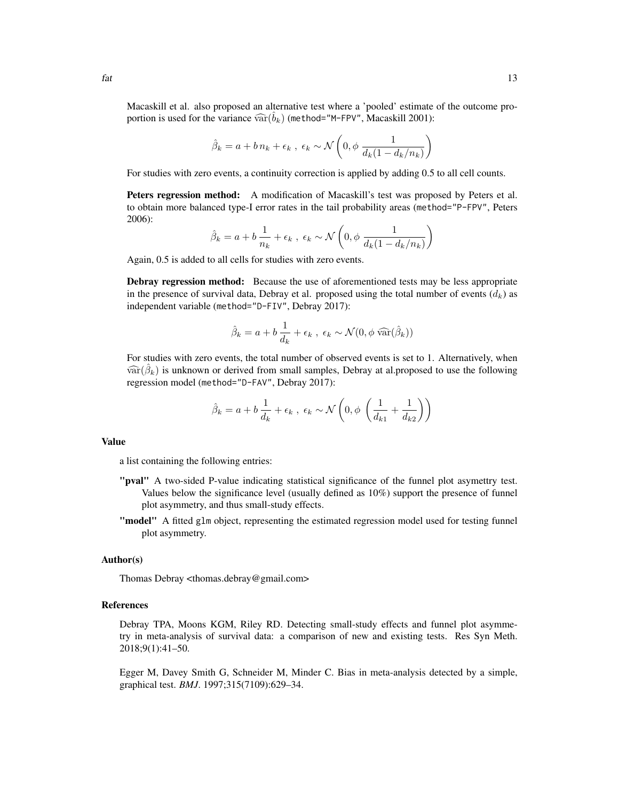Macaskill et al. also proposed an alternative test where a 'pooled' estimate of the outcome proportion is used for the variance  $\widehat{\text{var}}(\hat{b}_k)$  (method="M-FPV", Macaskill 2001):

$$
\hat{\beta}_k = a + b n_k + \epsilon_k , \ \epsilon_k \sim \mathcal{N}\left(0, \phi \frac{1}{d_k(1 - d_k/n_k)}\right)
$$

For studies with zero events, a continuity correction is applied by adding 0.5 to all cell counts.

Peters regression method: A modification of Macaskill's test was proposed by Peters et al. to obtain more balanced type-I error rates in the tail probability areas (method="P-FPV", Peters 2006):

$$
\hat{\beta}_k = a + b \frac{1}{n_k} + \epsilon_k , \ \epsilon_k \sim \mathcal{N}\left(0, \phi \frac{1}{d_k(1 - d_k/n_k)}\right)
$$

Again, 0.5 is added to all cells for studies with zero events.

Debray regression method: Because the use of aforementioned tests may be less appropriate in the presence of survival data, Debray et al. proposed using the total number of events  $(d_k)$  as independent variable (method="D-FIV", Debray 2017):

$$
\hat{\beta}_k = a + b \frac{1}{d_k} + \epsilon_k , \ \epsilon_k \sim \mathcal{N}(0, \phi \widehat{\text{var}}(\hat{\beta}_k))
$$

For studies with zero events, the total number of observed events is set to 1. Alternatively, when  $\widehat{\text{var}}(\hat{\beta}_k)$  is unknown or derived from small samples, Debray at al.proposed to use the following<br>regression model (mothod="D=5A)!" Debray 2017): regression model (method="D-FAV", Debray 2017):

$$
\hat{\beta}_k = a + b \frac{1}{d_k} + \epsilon_k , \ \epsilon_k \sim \mathcal{N}\left(0, \phi \left(\frac{1}{d_{k1}} + \frac{1}{d_{k2}}\right)\right)
$$

#### Value

a list containing the following entries:

- "pval" A two-sided P-value indicating statistical significance of the funnel plot asymettry test. Values below the significance level (usually defined as 10%) support the presence of funnel plot asymmetry, and thus small-study effects.
- "model" A fitted glm object, representing the estimated regression model used for testing funnel plot asymmetry.

#### Author(s)

Thomas Debray <thomas.debray@gmail.com>

#### References

Debray TPA, Moons KGM, Riley RD. Detecting small-study effects and funnel plot asymmetry in meta-analysis of survival data: a comparison of new and existing tests. Res Syn Meth. 2018;9(1):41–50.

Egger M, Davey Smith G, Schneider M, Minder C. Bias in meta-analysis detected by a simple, graphical test. *BMJ*. 1997;315(7109):629–34.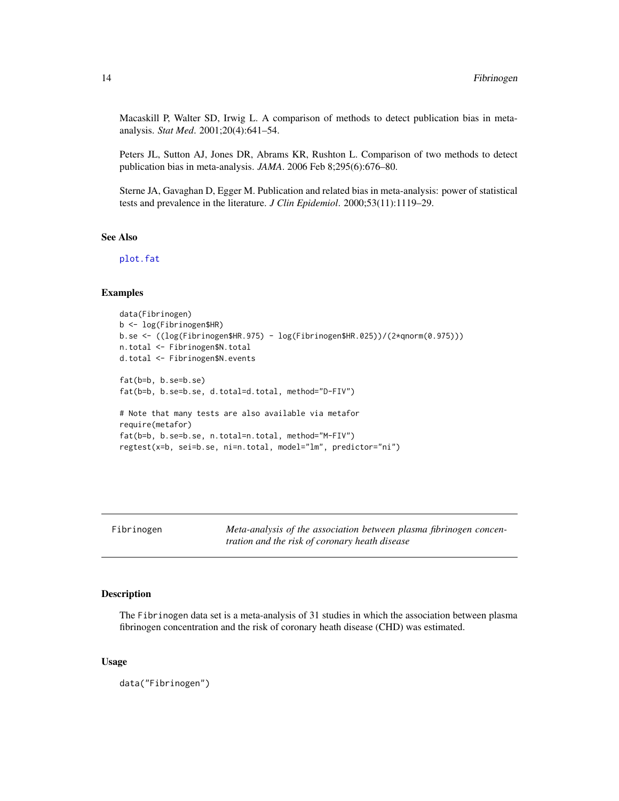<span id="page-13-0"></span>Macaskill P, Walter SD, Irwig L. A comparison of methods to detect publication bias in metaanalysis. *Stat Med*. 2001;20(4):641–54.

Peters JL, Sutton AJ, Jones DR, Abrams KR, Rushton L. Comparison of two methods to detect publication bias in meta-analysis. *JAMA*. 2006 Feb 8;295(6):676–80.

Sterne JA, Gavaghan D, Egger M. Publication and related bias in meta-analysis: power of statistical tests and prevalence in the literature. *J Clin Epidemiol*. 2000;53(11):1119–29.

#### See Also

[plot.fat](#page-23-1)

#### Examples

```
data(Fibrinogen)
b <- log(Fibrinogen$HR)
b.se <- ((log(Fibrinogen$HR.975) - log(Fibrinogen$HR.025))/(2*qnorm(0.975)))
n.total <- Fibrinogen$N.total
d.total <- Fibrinogen$N.events
fat(b=b, b.se=b.se)
fat(b=b, b.se=b.se, d.total=d.total, method="D-FIV")
# Note that many tests are also available via metafor
require(metafor)
fat(b=b, b.se=b.se, n.total=n.total, method="M-FIV")
regtest(x=b, sei=b.se, ni=n.total, model="lm", predictor="ni")
```
Fibrinogen *Meta-analysis of the association between plasma fibrinogen concentration and the risk of coronary heath disease*

#### Description

The Fibrinogen data set is a meta-analysis of 31 studies in which the association between plasma fibrinogen concentration and the risk of coronary heath disease (CHD) was estimated.

#### Usage

data("Fibrinogen")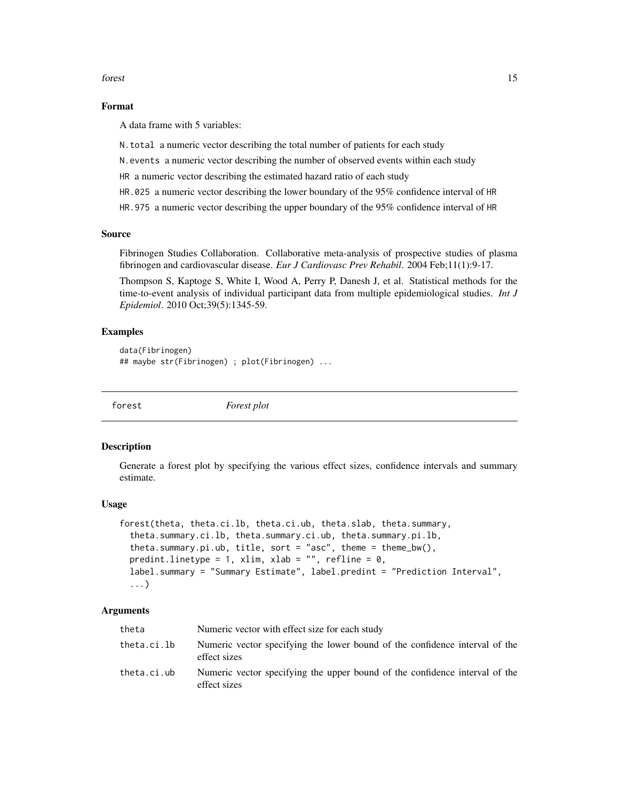<span id="page-14-0"></span>forest that the contract of the contract of the contract of the contract of the contract of the contract of the contract of the contract of the contract of the contract of the contract of the contract of the contract of th

# Format

A data frame with 5 variables:

- N.total a numeric vector describing the total number of patients for each study
- N.events a numeric vector describing the number of observed events within each study
- HR a numeric vector describing the estimated hazard ratio of each study
- HR.025 a numeric vector describing the lower boundary of the 95% confidence interval of HR
- HR.975 a numeric vector describing the upper boundary of the 95% confidence interval of HR

#### Source

Fibrinogen Studies Collaboration. Collaborative meta-analysis of prospective studies of plasma fibrinogen and cardiovascular disease. *Eur J Cardiovasc Prev Rehabil*. 2004 Feb;11(1):9-17.

Thompson S, Kaptoge S, White I, Wood A, Perry P, Danesh J, et al. Statistical methods for the time-to-event analysis of individual participant data from multiple epidemiological studies. *Int J Epidemiol*. 2010 Oct;39(5):1345-59.

### Examples

```
data(Fibrinogen)
## maybe str(Fibrinogen) ; plot(Fibrinogen) ...
```
<span id="page-14-1"></span>forest *Forest plot*

#### **Description**

Generate a forest plot by specifying the various effect sizes, confidence intervals and summary estimate.

#### Usage

```
forest(theta, theta.ci.lb, theta.ci.ub, theta.slab, theta.summary,
  theta.summary.ci.lb, theta.summary.ci.ub, theta.summary.pi.lb,
  theta.summary.pi.ub, title, sort = "asc", theme = theme_bw(),
  predint.linetype = 1, xlim, xlab = "", refline = 0,
  label.summary = "Summary Estimate", label.predint = "Prediction Interval",
  ...)
```
#### Arguments

| theta       | Numeric vector with effect size for each study                                              |
|-------------|---------------------------------------------------------------------------------------------|
| theta.ci.lb | Numeric vector specifying the lower bound of the confidence interval of the<br>effect sizes |
| theta.ci.ub | Numeric vector specifying the upper bound of the confidence interval of the<br>effect sizes |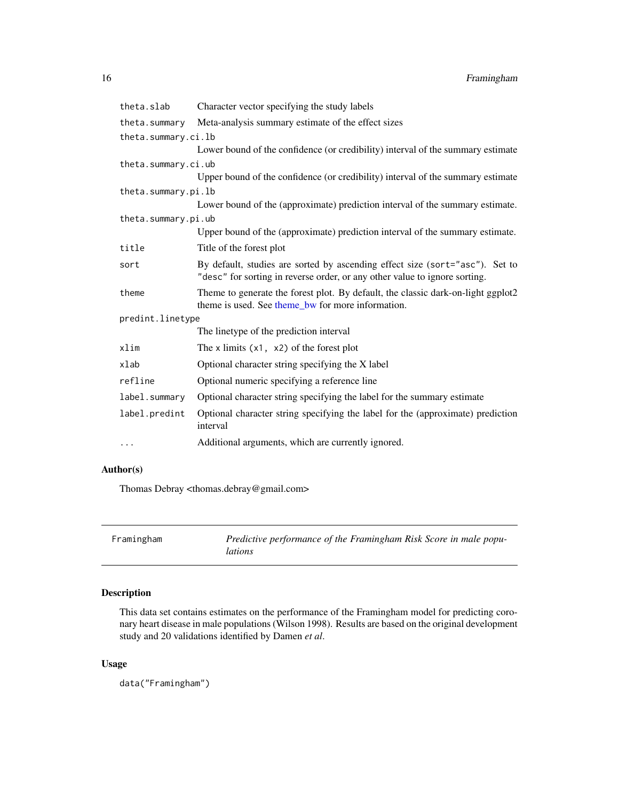<span id="page-15-0"></span>

| theta.slab          | Character vector specifying the study labels                                                                                                               |
|---------------------|------------------------------------------------------------------------------------------------------------------------------------------------------------|
|                     | theta.summary Meta-analysis summary estimate of the effect sizes                                                                                           |
| theta.summary.ci.lb |                                                                                                                                                            |
|                     | Lower bound of the confidence (or credibility) interval of the summary estimate                                                                            |
| theta.summary.ci.ub |                                                                                                                                                            |
|                     | Upper bound of the confidence (or credibility) interval of the summary estimate                                                                            |
| theta.summary.pi.lb |                                                                                                                                                            |
|                     | Lower bound of the (approximate) prediction interval of the summary estimate.                                                                              |
| theta.summary.pi.ub |                                                                                                                                                            |
|                     | Upper bound of the (approximate) prediction interval of the summary estimate.                                                                              |
| title               | Title of the forest plot                                                                                                                                   |
| sort                | By default, studies are sorted by ascending effect size (sort="asc"). Set to<br>"desc" for sorting in reverse order, or any other value to ignore sorting. |
| theme               | Theme to generate the forest plot. By default, the classic dark-on-light ggplot2<br>theme is used. See theme_bw for more information.                      |
| predint.linetype    |                                                                                                                                                            |
|                     | The linetype of the prediction interval                                                                                                                    |
| xlim                | The x limits $(x1, x2)$ of the forest plot                                                                                                                 |
| xlab                | Optional character string specifying the X label                                                                                                           |
| refline             | Optional numeric specifying a reference line                                                                                                               |
| label.summary       | Optional character string specifying the label for the summary estimate                                                                                    |
| label.predint       | Optional character string specifying the label for the (approximate) prediction<br>interval                                                                |
| $\cdots$            | Additional arguments, which are currently ignored.                                                                                                         |

# Author(s)

Thomas Debray <thomas.debray@gmail.com>

| Framingham | Predictive performance of the Framingham Risk Score in male popu- |
|------------|-------------------------------------------------------------------|
|            | lations                                                           |

# Description

This data set contains estimates on the performance of the Framingham model for predicting coronary heart disease in male populations (Wilson 1998). Results are based on the original development study and 20 validations identified by Damen *et al*.

# Usage

data("Framingham")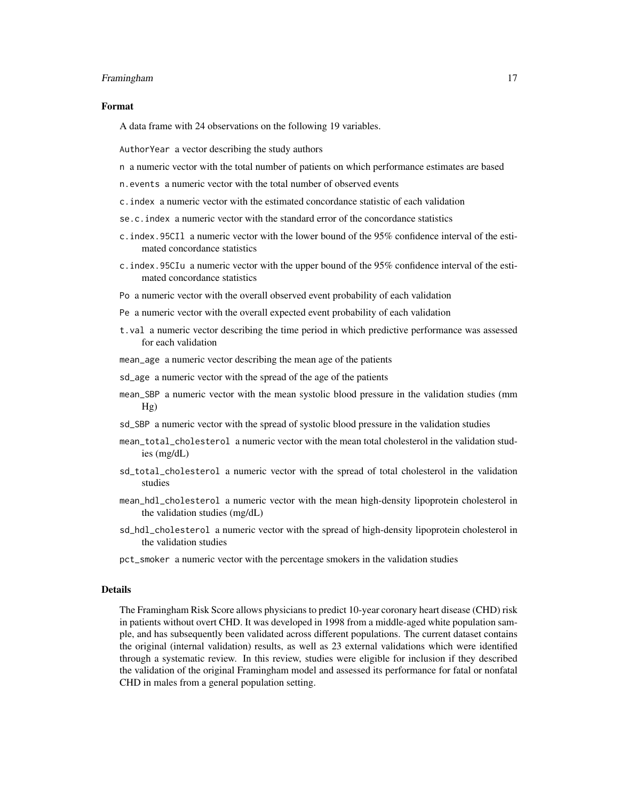#### Framingham 17

#### Format

A data frame with 24 observations on the following 19 variables.

AuthorYear a vector describing the study authors

- n a numeric vector with the total number of patients on which performance estimates are based
- n.events a numeric vector with the total number of observed events
- c.index a numeric vector with the estimated concordance statistic of each validation
- se.c.index a numeric vector with the standard error of the concordance statistics
- c.index.95CIl a numeric vector with the lower bound of the 95% confidence interval of the estimated concordance statistics
- c.index.95CIu a numeric vector with the upper bound of the 95% confidence interval of the estimated concordance statistics
- Po a numeric vector with the overall observed event probability of each validation
- Pe a numeric vector with the overall expected event probability of each validation
- t.val a numeric vector describing the time period in which predictive performance was assessed for each validation
- mean\_age a numeric vector describing the mean age of the patients
- sd\_age a numeric vector with the spread of the age of the patients
- mean\_SBP a numeric vector with the mean systolic blood pressure in the validation studies (mm  $Hg)$
- sd\_SBP a numeric vector with the spread of systolic blood pressure in the validation studies
- mean\_total\_cholesterol a numeric vector with the mean total cholesterol in the validation studies (mg/dL)
- sd\_total\_cholesterol a numeric vector with the spread of total cholesterol in the validation studies
- mean\_hdl\_cholesterol a numeric vector with the mean high-density lipoprotein cholesterol in the validation studies (mg/dL)
- sd\_hdl\_cholesterol a numeric vector with the spread of high-density lipoprotein cholesterol in the validation studies
- pct\_smoker a numeric vector with the percentage smokers in the validation studies

#### Details

The Framingham Risk Score allows physicians to predict 10-year coronary heart disease (CHD) risk in patients without overt CHD. It was developed in 1998 from a middle-aged white population sample, and has subsequently been validated across different populations. The current dataset contains the original (internal validation) results, as well as 23 external validations which were identified through a systematic review. In this review, studies were eligible for inclusion if they described the validation of the original Framingham model and assessed its performance for fatal or nonfatal CHD in males from a general population setting.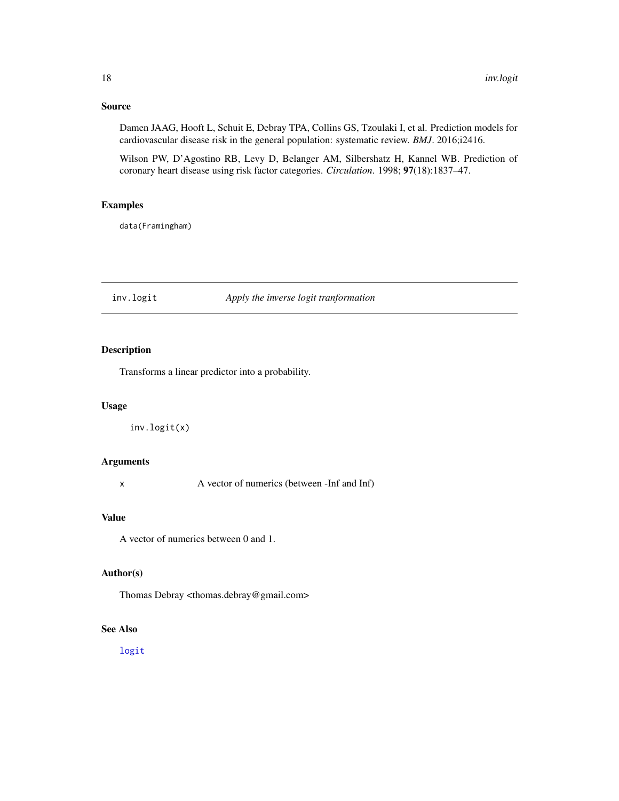# <span id="page-17-0"></span>Source

Damen JAAG, Hooft L, Schuit E, Debray TPA, Collins GS, Tzoulaki I, et al. Prediction models for cardiovascular disease risk in the general population: systematic review. *BMJ*. 2016;i2416.

Wilson PW, D'Agostino RB, Levy D, Belanger AM, Silbershatz H, Kannel WB. Prediction of coronary heart disease using risk factor categories. *Circulation*. 1998; 97(18):1837–47.

# Examples

data(Framingham)

# <span id="page-17-1"></span>inv.logit *Apply the inverse logit tranformation*

# Description

Transforms a linear predictor into a probability.

# Usage

inv.logit(x)

# Arguments

x A vector of numerics (between -Inf and Inf)

# Value

A vector of numerics between 0 and 1.

# Author(s)

Thomas Debray <thomas.debray@gmail.com>

# See Also

[logit](#page-18-1)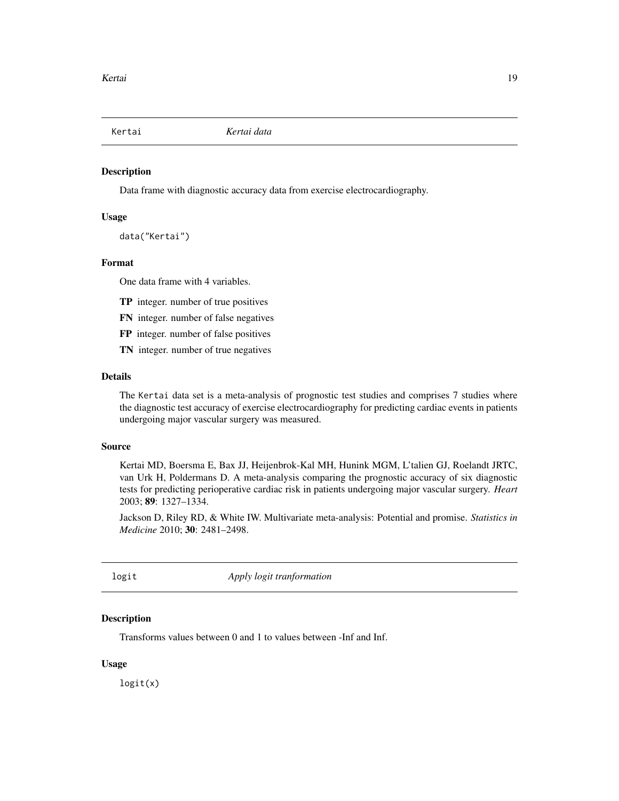<span id="page-18-0"></span>

#### Description

Data frame with diagnostic accuracy data from exercise electrocardiography.

#### Usage

```
data("Kertai")
```
# Format

One data frame with 4 variables.

- TP integer. number of true positives
- FN integer. number of false negatives
- FP integer. number of false positives
- TN integer. number of true negatives

#### Details

The Kertai data set is a meta-analysis of prognostic test studies and comprises 7 studies where the diagnostic test accuracy of exercise electrocardiography for predicting cardiac events in patients undergoing major vascular surgery was measured.

## Source

Kertai MD, Boersma E, Bax JJ, Heijenbrok-Kal MH, Hunink MGM, L'talien GJ, Roelandt JRTC, van Urk H, Poldermans D. A meta-analysis comparing the prognostic accuracy of six diagnostic tests for predicting perioperative cardiac risk in patients undergoing major vascular surgery. *Heart* 2003; 89: 1327–1334.

Jackson D, Riley RD, & White IW. Multivariate meta-analysis: Potential and promise. *Statistics in Medicine* 2010; 30: 2481–2498.

<span id="page-18-1"></span>logit *Apply logit tranformation*

#### Description

Transforms values between 0 and 1 to values between -Inf and Inf.

#### Usage

logit(x)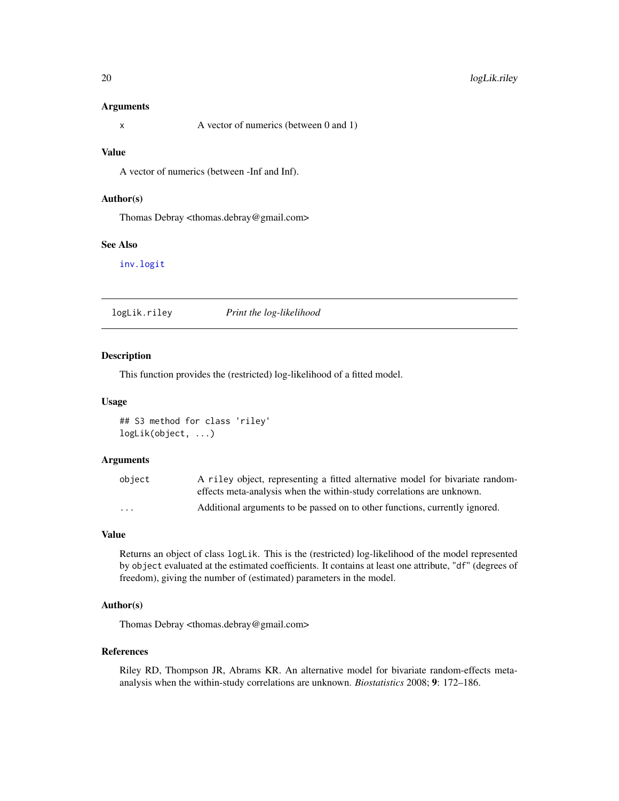#### <span id="page-19-0"></span>Arguments

#### Value

A vector of numerics (between -Inf and Inf).

#### Author(s)

Thomas Debray <thomas.debray@gmail.com>

# See Also

[inv.logit](#page-17-1)

logLik.riley *Print the log-likelihood*

# Description

This function provides the (restricted) log-likelihood of a fitted model.

#### Usage

```
## S3 method for class 'riley'
logLik(object, ...)
```
#### Arguments

| object   | A riley object, representing a fitted alternative model for bivariate random- |
|----------|-------------------------------------------------------------------------------|
|          | effects meta-analysis when the within-study correlations are unknown.         |
| $\cdots$ | Additional arguments to be passed on to other functions, currently ignored.   |

# Value

Returns an object of class logLik. This is the (restricted) log-likelihood of the model represented by object evaluated at the estimated coefficients. It contains at least one attribute, "df" (degrees of freedom), giving the number of (estimated) parameters in the model.

#### Author(s)

Thomas Debray <thomas.debray@gmail.com>

# References

Riley RD, Thompson JR, Abrams KR. An alternative model for bivariate random-effects metaanalysis when the within-study correlations are unknown. *Biostatistics* 2008; 9: 172–186.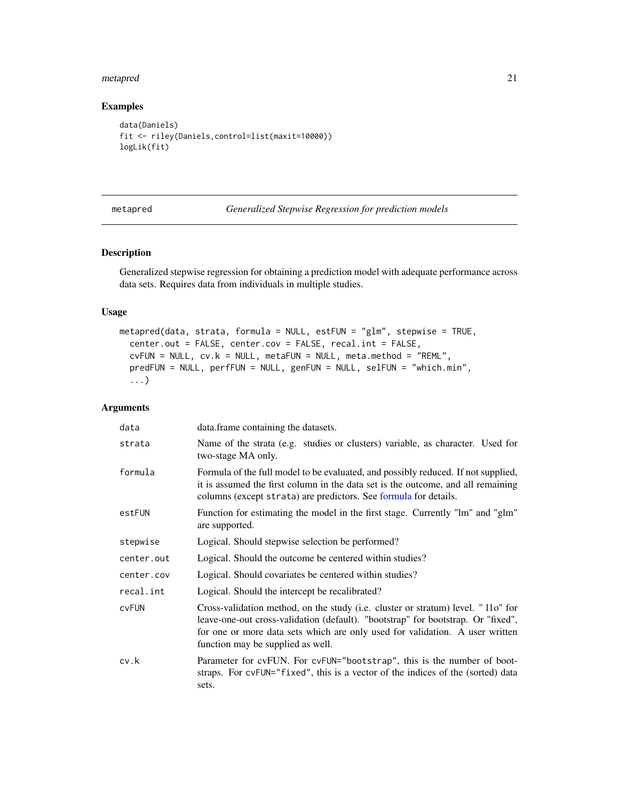#### <span id="page-20-0"></span>metapred 21

# Examples

```
data(Daniels)
fit <- riley(Daniels,control=list(maxit=10000))
logLik(fit)
```
### metapred *Generalized Stepwise Regression for prediction models*

# Description

Generalized stepwise regression for obtaining a prediction model with adequate performance across data sets. Requires data from individuals in multiple studies.

# Usage

```
metapred(data, strata, formula = NULL, estFUN = "glm", stepwise = TRUE,
 center.out = FALSE, center.cov = FALSE, recal.int = FALSE,
 cvFW = NULL, cv.k = NULL, metaFUN = NULL, meta.method = "REML",
 predFUN = NULL, perfFUN = NULL, genFUN = NULL, selFUN = "which.min",
  ...)
```
# Arguments

| data       | data. frame containing the datasets.                                                                                                                                                                                                                                                       |
|------------|--------------------------------------------------------------------------------------------------------------------------------------------------------------------------------------------------------------------------------------------------------------------------------------------|
| strata     | Name of the strata (e.g. studies or clusters) variable, as character. Used for<br>two-stage MA only.                                                                                                                                                                                       |
| formula    | Formula of the full model to be evaluated, and possibly reduced. If not supplied,<br>it is assumed the first column in the data set is the outcome, and all remaining<br>columns (except strata) are predictors. See formula for details.                                                  |
| estFUN     | Function for estimating the model in the first stage. Currently "lm" and "glm"<br>are supported.                                                                                                                                                                                           |
| stepwise   | Logical. Should stepwise selection be performed?                                                                                                                                                                                                                                           |
| center.out | Logical. Should the outcome be centered within studies?                                                                                                                                                                                                                                    |
| center.cov | Logical. Should covariates be centered within studies?                                                                                                                                                                                                                                     |
| recal.int  | Logical. Should the intercept be recalibrated?                                                                                                                                                                                                                                             |
| cvFUN      | Cross-validation method, on the study (i.e. cluster or stratum) level. " 11o" for<br>leave-one-out cross-validation (default). "bootstrap" for bootstrap. Or "fixed",<br>for one or more data sets which are only used for validation. A user written<br>function may be supplied as well. |
| cv.k       | Parameter for cvFUN. For cvFUN="bootstrap", this is the number of boot-<br>straps. For cvFUN="fixed", this is a vector of the indices of the (sorted) data<br>sets.                                                                                                                        |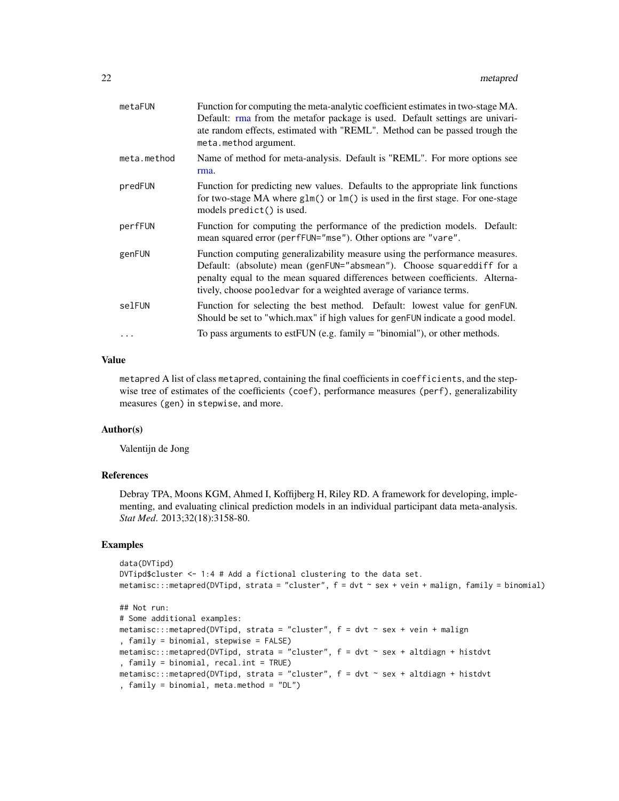<span id="page-21-0"></span>

| metaFUN     | Function for computing the meta-analytic coefficient estimates in two-stage MA.<br>Default: rma from the metafor package is used. Default settings are univari-<br>ate random effects, estimated with "REML". Method can be passed trough the<br>meta.method argument.                                    |
|-------------|-----------------------------------------------------------------------------------------------------------------------------------------------------------------------------------------------------------------------------------------------------------------------------------------------------------|
| meta.method | Name of method for meta-analysis. Default is "REML". For more options see<br>rma.                                                                                                                                                                                                                         |
| predFUN     | Function for predicting new values. Defaults to the appropriate link functions<br>for two-stage MA where glm() or lm() is used in the first stage. For one-stage<br>models predict() is used.                                                                                                             |
| perfFUN     | Function for computing the performance of the prediction models. Default:<br>mean squared error (perfFUN="mse"). Other options are "vare".                                                                                                                                                                |
| genFUN      | Function computing generalizability measure using the performance measures.<br>Default: (absolute) mean (genFUN="absmean"). Choose squareddiff for a<br>penalty equal to the mean squared differences between coefficients. Alterna-<br>tively, choose pooled a for a weighted average of variance terms. |
| selFUN      | Function for selecting the best method. Default: lowest value for genFUN.<br>Should be set to "which.max" if high values for genFUN indicate a good model.                                                                                                                                                |
| .           | To pass arguments to est FUN (e.g. family $=$ "binomial"), or other methods.                                                                                                                                                                                                                              |

#### Value

metapred A list of class metapred, containing the final coefficients in coefficients, and the stepwise tree of estimates of the coefficients (coef), performance measures (perf), generalizability measures (gen) in stepwise, and more.

#### Author(s)

Valentijn de Jong

# References

Debray TPA, Moons KGM, Ahmed I, Koffijberg H, Riley RD. A framework for developing, implementing, and evaluating clinical prediction models in an individual participant data meta-analysis. *Stat Med*. 2013;32(18):3158-80.

# Examples

```
data(DVTipd)
DVTipd$cluster <- 1:4 # Add a fictional clustering to the data set.
metamisc::method(DVTip, strata = "cluster", f = dvt ~ sex + vein + malign, family = binomial)## Not run:
# Some additional examples:
metamisc::method(DVTipd, strata = "cluster", f = dvt ~ sex + vein + malign, family = binomial, stepwise = FALSE)
metamisc:::metapred(DVTipd, strata = "cluster", f = dvt \sim sex + altdiagn + histdvt, family = binomial, recal.int = TRUE)
metamisc:::metapred(DVTipd, strata = "cluster", f = dvt - sex + altdiagn + histdvt, family = binomial, meta.method = "DL")
```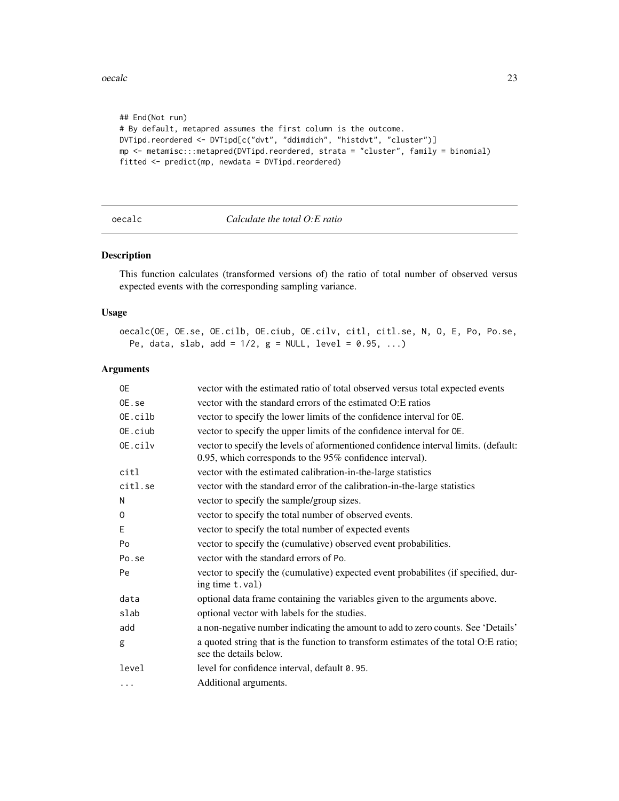<span id="page-22-0"></span>oecalc 23

```
## End(Not run)
# By default, metapred assumes the first column is the outcome.
DVTipd.reordered <- DVTipd[c("dvt", "ddimdich", "histdvt", "cluster")]
mp <- metamisc:::metapred(DVTipd.reordered, strata = "cluster", family = binomial)
fitted <- predict(mp, newdata = DVTipd.reordered)
```

```
oecalc Calculate the total O:E ratio
```
# Description

This function calculates (transformed versions of) the ratio of total number of observed versus expected events with the corresponding sampling variance.

#### Usage

oecalc(OE, OE.se, OE.cilb, OE.ciub, OE.cilv, citl, citl.se, N, O, E, Po, Po.se, Pe, data, slab, add =  $1/2$ , g = NULL, level = 0.95, ...)

# Arguments

| 0E       | vector with the estimated ratio of total observed versus total expected events                                                                  |
|----------|-------------------------------------------------------------------------------------------------------------------------------------------------|
| OE.se    | vector with the standard errors of the estimated O:E ratios                                                                                     |
| OE.cilb  | vector to specify the lower limits of the confidence interval for OE.                                                                           |
| OE.ciub  | vector to specify the upper limits of the confidence interval for $OE$ .                                                                        |
| OE.cilv  | vector to specify the levels of aformentioned confidence interval limits. (default:<br>0.95, which corresponds to the 95% confidence interval). |
| citl     | vector with the estimated calibration-in-the-large statistics                                                                                   |
| citl.se  | vector with the standard error of the calibration-in-the-large statistics                                                                       |
| N        | vector to specify the sample/group sizes.                                                                                                       |
| 0        | vector to specify the total number of observed events.                                                                                          |
| Ε        | vector to specify the total number of expected events                                                                                           |
| Po       | vector to specify the (cumulative) observed event probabilities.                                                                                |
| Po.se    | vector with the standard errors of Po.                                                                                                          |
| Pe       | vector to specify the (cumulative) expected event probabilites (if specified, dur-<br>ing time t.val)                                           |
| data     | optional data frame containing the variables given to the arguments above.                                                                      |
| slab     | optional vector with labels for the studies.                                                                                                    |
| add      | a non-negative number indicating the amount to add to zero counts. See 'Details'                                                                |
| g        | a quoted string that is the function to transform estimates of the total O:E ratio;<br>see the details below.                                   |
| level    | level for confidence interval, default 0.95.                                                                                                    |
| $\cdots$ | Additional arguments.                                                                                                                           |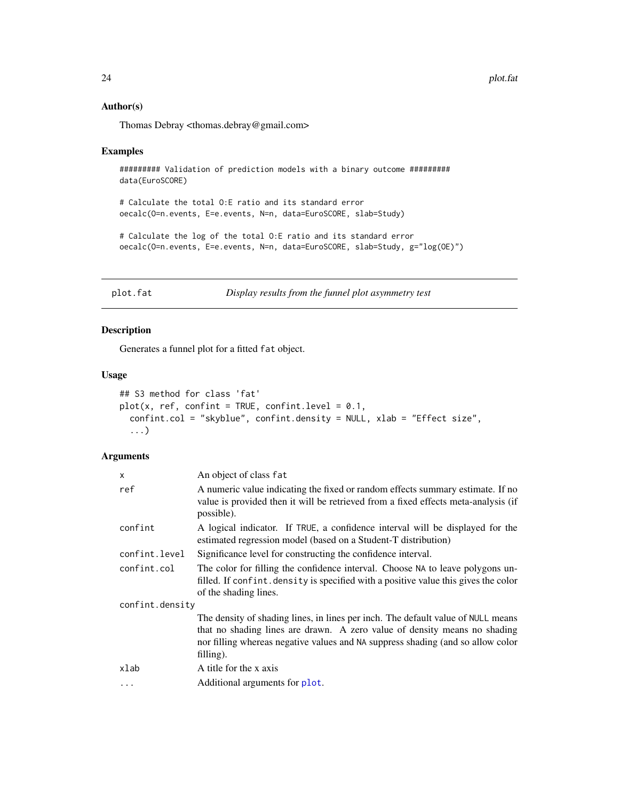<span id="page-23-0"></span>24 plot.fat

# Author(s)

Thomas Debray <thomas.debray@gmail.com>

#### Examples

```
######### Validation of prediction models with a binary outcome #########
data(EuroSCORE)
```
# Calculate the total O:E ratio and its standard error oecalc(O=n.events, E=e.events, N=n, data=EuroSCORE, slab=Study)

# Calculate the log of the total O:E ratio and its standard error oecalc(O=n.events, E=e.events, N=n, data=EuroSCORE, slab=Study, g="log(OE)")

<span id="page-23-1"></span>plot.fat *Display results from the funnel plot asymmetry test*

# Description

Generates a funnel plot for a fitted fat object.

# Usage

```
## S3 method for class 'fat'
plot(x, ref, conflict = TRUE, conflict.level = 0.1,confint.col = "skyblue", confint.density = NULL, xlab = "Effect size",
  ...)
```
# Arguments

| X               | An object of class fat                                                                                                                                                                                                                                           |
|-----------------|------------------------------------------------------------------------------------------------------------------------------------------------------------------------------------------------------------------------------------------------------------------|
| ref             | A numeric value indicating the fixed or random effects summary estimate. If no<br>value is provided then it will be retrieved from a fixed effects meta-analysis (if<br>possible).                                                                               |
| confint         | A logical indicator. If TRUE, a confidence interval will be displayed for the<br>estimated regression model (based on a Student-T distribution)                                                                                                                  |
| confint.level   | Significance level for constructing the confidence interval.                                                                                                                                                                                                     |
| confint.col     | The color for filling the confidence interval. Choose NA to leave polygons un-<br>filled. If confint density is specified with a positive value this gives the color<br>of the shading lines.                                                                    |
| confint.density |                                                                                                                                                                                                                                                                  |
|                 | The density of shading lines, in lines per inch. The default value of NULL means<br>that no shading lines are drawn. A zero value of density means no shading<br>nor filling whereas negative values and NA suppress shading (and so allow color<br>$filling$ ). |
| xlab            | A title for the x axis                                                                                                                                                                                                                                           |
| $\cdot$         | Additional arguments for plot.                                                                                                                                                                                                                                   |
|                 |                                                                                                                                                                                                                                                                  |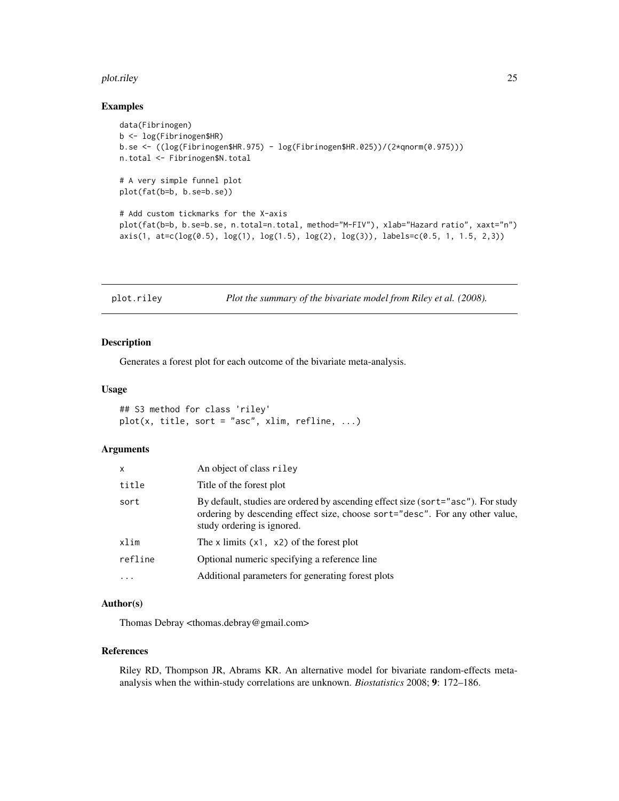#### <span id="page-24-0"></span>plot.riley 25

#### Examples

```
data(Fibrinogen)
b <- log(Fibrinogen$HR)
b.se <- ((log(Fibrinogen$HR.975) - log(Fibrinogen$HR.025))/(2*qnorm(0.975)))
n.total <- Fibrinogen$N.total
# A very simple funnel plot
plot(fat(b=b, b.se=b.se))
# Add custom tickmarks for the X-axis
plot(fat(b=b, b.se=b.se, n.total=n.total, method="M-FIV"), xlab="Hazard ratio", xaxt="n")
axis(1, at=c(log(0.5), log(1), log(1.5), log(2), log(3)), labels=c(0.5, 1, 1.5, 2,3))
```
plot.riley *Plot the summary of the bivariate model from Riley et al. (2008).*

#### Description

Generates a forest plot for each outcome of the bivariate meta-analysis.

#### Usage

```
## S3 method for class 'riley'
plot(x, title, sort = "asc", xlim, refline, ...)
```
# Arguments

| x         | An object of class riley                                                                                                                                                                       |
|-----------|------------------------------------------------------------------------------------------------------------------------------------------------------------------------------------------------|
| title     | Title of the forest plot                                                                                                                                                                       |
| sort      | By default, studies are ordered by ascending effect size (sort="asc"). For study<br>ordering by descending effect size, choose sort="desc". For any other value,<br>study ordering is ignored. |
| xlim      | The x limits $(x1, x2)$ of the forest plot                                                                                                                                                     |
| refline   | Optional numeric specifying a reference line                                                                                                                                                   |
| $\ddotsc$ | Additional parameters for generating forest plots                                                                                                                                              |

# Author(s)

Thomas Debray <thomas.debray@gmail.com>

#### References

Riley RD, Thompson JR, Abrams KR. An alternative model for bivariate random-effects metaanalysis when the within-study correlations are unknown. *Biostatistics* 2008; 9: 172–186.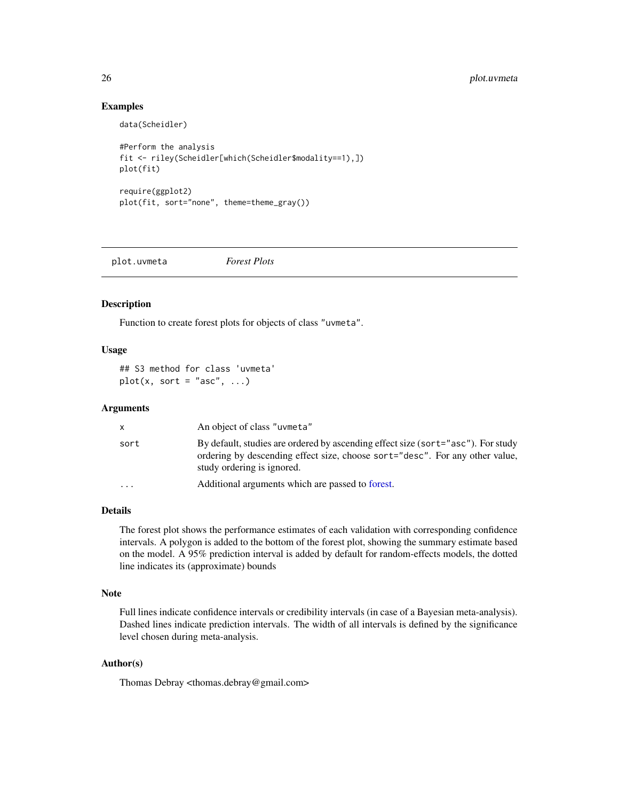# Examples

data(Scheidler)

```
#Perform the analysis
fit <- riley(Scheidler[which(Scheidler$modality==1),])
plot(fit)
require(ggplot2)
plot(fit, sort="none", theme=theme_gray())
```
plot.uvmeta *Forest Plots*

#### Description

Function to create forest plots for objects of class "uvmeta".

# Usage

## S3 method for class 'uvmeta'  $plot(x, sort = "asc", ...)$ 

#### Arguments

|           | An object of class "uvmeta"                                                                                                                                                                    |
|-----------|------------------------------------------------------------------------------------------------------------------------------------------------------------------------------------------------|
| sort      | By default, studies are ordered by ascending effect size (sort="asc"). For study<br>ordering by descending effect size, choose sort="desc". For any other value,<br>study ordering is ignored. |
| $\ddotsc$ | Additional arguments which are passed to forest.                                                                                                                                               |

# Details

The forest plot shows the performance estimates of each validation with corresponding confidence intervals. A polygon is added to the bottom of the forest plot, showing the summary estimate based on the model. A 95% prediction interval is added by default for random-effects models, the dotted line indicates its (approximate) bounds

#### Note

Full lines indicate confidence intervals or credibility intervals (in case of a Bayesian meta-analysis). Dashed lines indicate prediction intervals. The width of all intervals is defined by the significance level chosen during meta-analysis.

# Author(s)

Thomas Debray <thomas.debray@gmail.com>

<span id="page-25-0"></span>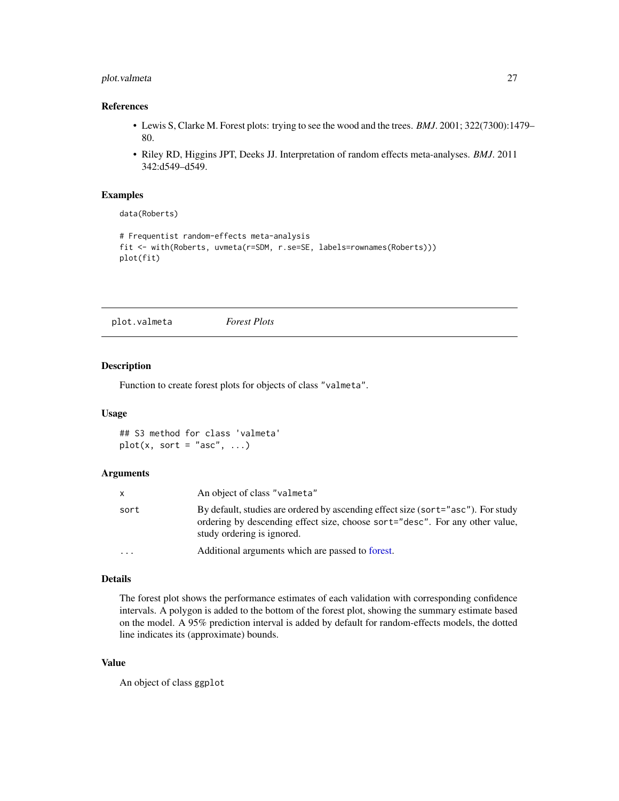# <span id="page-26-0"></span>plot.valmeta 27

# References

- Lewis S, Clarke M. Forest plots: trying to see the wood and the trees. *BMJ*. 2001; 322(7300):1479– 80.
- Riley RD, Higgins JPT, Deeks JJ. Interpretation of random effects meta-analyses. *BMJ*. 2011 342:d549–d549.

### Examples

```
data(Roberts)
# Frequentist random-effects meta-analysis
fit <- with(Roberts, uvmeta(r=SDM, r.se=SE, labels=rownames(Roberts)))
plot(fit)
```
<span id="page-26-1"></span>plot.valmeta *Forest Plots*

#### Description

Function to create forest plots for objects of class "valmeta".

#### Usage

## S3 method for class 'valmeta'  $plot(x, sort = "asc", ...)$ 

#### Arguments

| X        | An object of class "valmeta"                                                                                                                                                                   |
|----------|------------------------------------------------------------------------------------------------------------------------------------------------------------------------------------------------|
| sort     | By default, studies are ordered by ascending effect size (sort="asc"). For study<br>ordering by descending effect size, choose sort="desc". For any other value,<br>study ordering is ignored. |
| $\cdots$ | Additional arguments which are passed to forest.                                                                                                                                               |

#### Details

The forest plot shows the performance estimates of each validation with corresponding confidence intervals. A polygon is added to the bottom of the forest plot, showing the summary estimate based on the model. A 95% prediction interval is added by default for random-effects models, the dotted line indicates its (approximate) bounds.

# Value

An object of class ggplot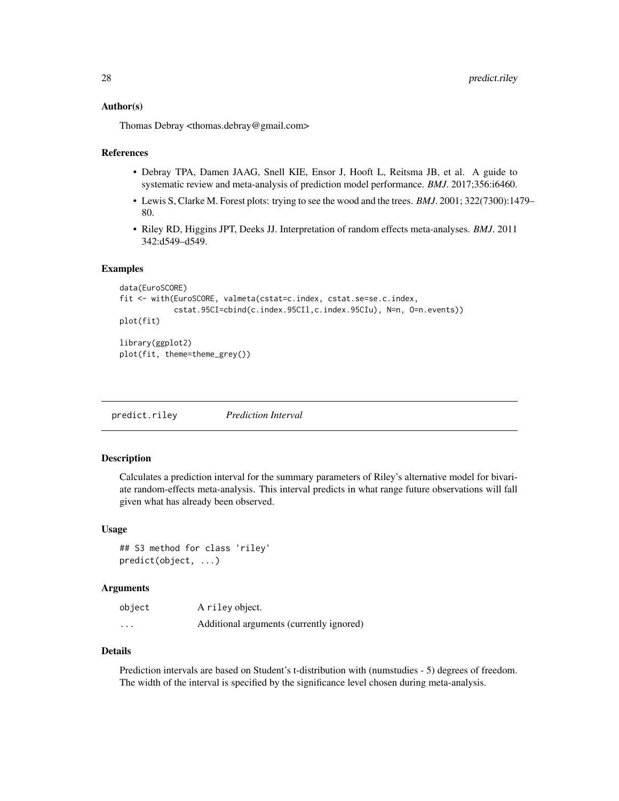#### <span id="page-27-0"></span>Author(s)

Thomas Debray <thomas.debray@gmail.com>

#### References

- Debray TPA, Damen JAAG, Snell KIE, Ensor J, Hooft L, Reitsma JB, et al. A guide to systematic review and meta-analysis of prediction model performance. *BMJ*. 2017;356:i6460.
- Lewis S, Clarke M. Forest plots: trying to see the wood and the trees. *BMJ*. 2001; 322(7300):1479– 80.
- Riley RD, Higgins JPT, Deeks JJ. Interpretation of random effects meta-analyses. *BMJ*. 2011 342:d549–d549.

#### Examples

```
data(EuroSCORE)
fit <- with(EuroSCORE, valmeta(cstat=c.index, cstat.se=se.c.index,
            cstat.95CI=cbind(c.index.95CIl,c.index.95CIu), N=n, O=n.events))
plot(fit)
library(ggplot2)
plot(fit, theme=theme_grey())
```
predict.riley *Prediction Interval*

#### Description

Calculates a prediction interval for the summary parameters of Riley's alternative model for bivariate random-effects meta-analysis. This interval predicts in what range future observations will fall given what has already been observed.

#### Usage

```
## S3 method for class 'riley'
predict(object, ...)
```
# Arguments

| object   | A riley object.                          |
|----------|------------------------------------------|
| $\cdots$ | Additional arguments (currently ignored) |

#### Details

Prediction intervals are based on Student's t-distribution with (numstudies - 5) degrees of freedom. The width of the interval is specified by the significance level chosen during meta-analysis.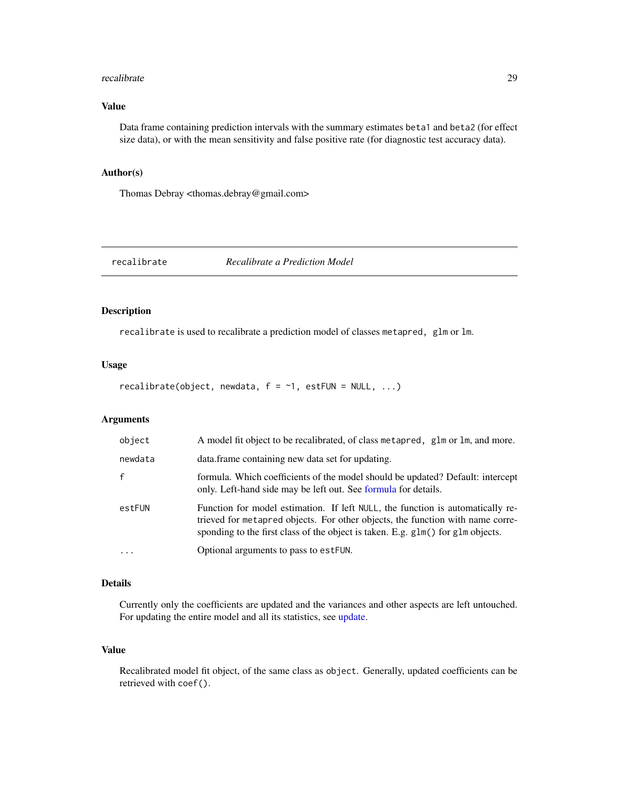#### <span id="page-28-0"></span>recalibrate 29

# Value

Data frame containing prediction intervals with the summary estimates beta1 and beta2 (for effect size data), or with the mean sensitivity and false positive rate (for diagnostic test accuracy data).

#### Author(s)

Thomas Debray <thomas.debray@gmail.com>

#### recalibrate *Recalibrate a Prediction Model*

# Description

recalibrate is used to recalibrate a prediction model of classes metapred, glm or lm.

#### Usage

recalibrate(object, newdata,  $f = -1$ , estFUN = NULL, ...)

# Arguments

| object       | A model fit object to be recalibrated, of class metapred, glm or lm, and more.                                                                                                                                                                      |
|--------------|-----------------------------------------------------------------------------------------------------------------------------------------------------------------------------------------------------------------------------------------------------|
| newdata      | data. frame containing new data set for updating.                                                                                                                                                                                                   |
| $\mathsf{f}$ | formula. Which coefficients of the model should be updated? Default: intercept<br>only. Left-hand side may be left out. See formula for details.                                                                                                    |
| estFUN       | Function for model estimation. If left NULL, the function is automatically re-<br>trieved for metapred objects. For other objects, the function with name corre-<br>sponding to the first class of the object is taken. E.g. glm() for glm objects. |
| $\cdot$      | Optional arguments to pass to est FUN.                                                                                                                                                                                                              |

# Details

Currently only the coefficients are updated and the variances and other aspects are left untouched. For updating the entire model and all its statistics, see [update.](#page-0-0)

# Value

Recalibrated model fit object, of the same class as object. Generally, updated coefficients can be retrieved with coef().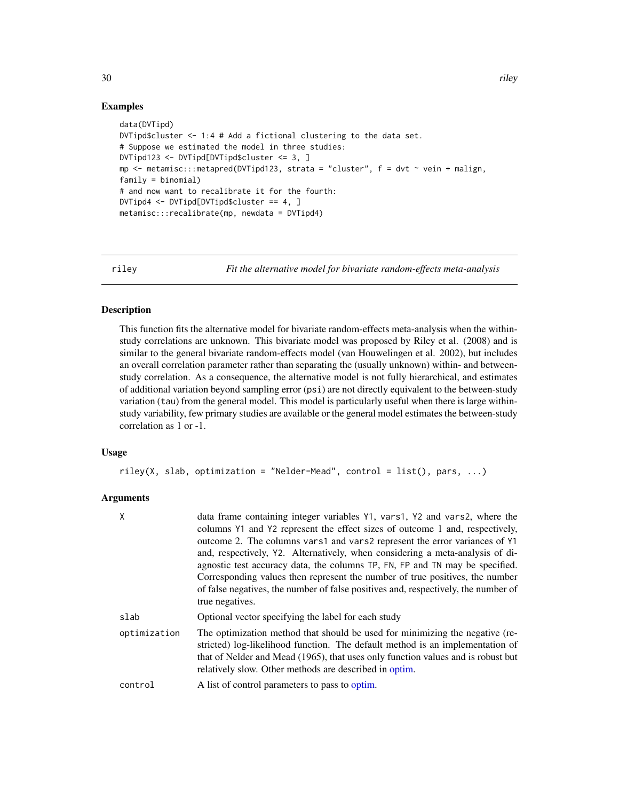# Examples

```
data(DVTipd)
DVTipd$cluster <- 1:4 # Add a fictional clustering to the data set.
# Suppose we estimated the model in three studies:
DVTipd123 <- DVTipd[DVTipd$cluster <= 3, ]
mp \le metamisc:::metapred(DVTipd123, strata = "cluster", f = \text{dvt} \sim \text{vein} + \text{malign},
family = binomial)
# and now want to recalibrate it for the fourth:
DVTipd4 <- DVTipd[DVTipd$cluster == 4, ]
metamisc:::recalibrate(mp, newdata = DVTipd4)
```
<span id="page-29-1"></span>riley *Fit the alternative model for bivariate random-effects meta-analysis*

# Description

This function fits the alternative model for bivariate random-effects meta-analysis when the withinstudy correlations are unknown. This bivariate model was proposed by Riley et al. (2008) and is similar to the general bivariate random-effects model (van Houwelingen et al. 2002), but includes an overall correlation parameter rather than separating the (usually unknown) within- and betweenstudy correlation. As a consequence, the alternative model is not fully hierarchical, and estimates of additional variation beyond sampling error (psi) are not directly equivalent to the between-study variation (tau) from the general model. This model is particularly useful when there is large withinstudy variability, few primary studies are available or the general model estimates the between-study correlation as 1 or -1.

#### Usage

```
riley(X, slab, optimization = "Nelder-Mead", control = list(), pars, ...)
```
# Arguments

| X            | data frame containing integer variables Y1, vars1, Y2 and vars2, where the<br>columns Y1 and Y2 represent the effect sizes of outcome 1 and, respectively,<br>outcome 2. The columns vars1 and vars2 represent the error variances of Y1<br>and, respectively, Y2. Alternatively, when considering a meta-analysis of di-<br>agnostic test accuracy data, the columns TP, FN, FP and TN may be specified.<br>Corresponding values then represent the number of true positives, the number<br>of false negatives, the number of false positives and, respectively, the number of<br>true negatives. |
|--------------|----------------------------------------------------------------------------------------------------------------------------------------------------------------------------------------------------------------------------------------------------------------------------------------------------------------------------------------------------------------------------------------------------------------------------------------------------------------------------------------------------------------------------------------------------------------------------------------------------|
| slab         | Optional vector specifying the label for each study                                                                                                                                                                                                                                                                                                                                                                                                                                                                                                                                                |
| optimization | The optimization method that should be used for minimizing the negative (re-<br>stricted) log-likelihood function. The default method is an implementation of<br>that of Nelder and Mead (1965), that uses only function values and is robust but<br>relatively slow. Other methods are described in optim.                                                                                                                                                                                                                                                                                        |
| control      | A list of control parameters to pass to optim.                                                                                                                                                                                                                                                                                                                                                                                                                                                                                                                                                     |

<span id="page-29-0"></span>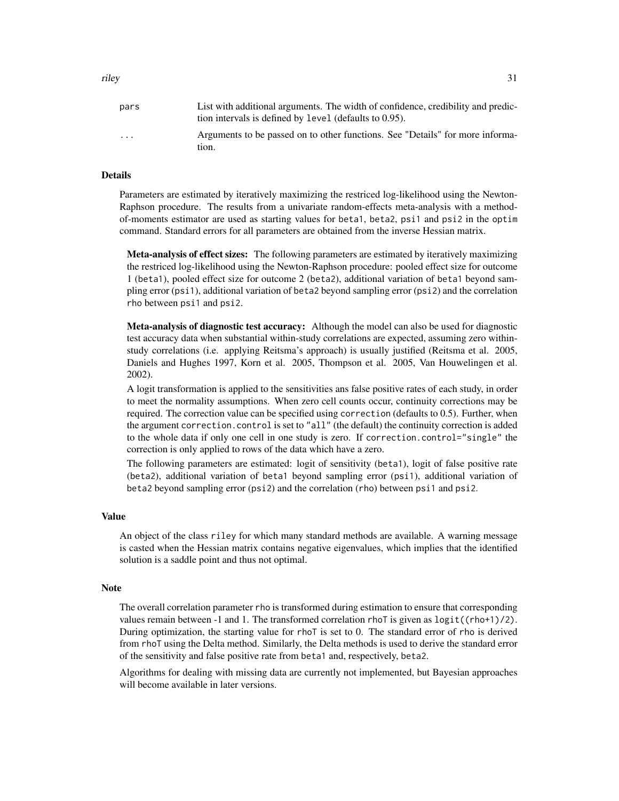| pars | List with additional arguments. The width of confidence, credibility and predic- |
|------|----------------------------------------------------------------------------------|
|      | tion intervals is defined by level (defaults to 0.95).                           |

| $\cdots$ | Arguments to be passed on to other functions. See "Details" for more informa- |
|----------|-------------------------------------------------------------------------------|
|          | tion                                                                          |

#### Details

Parameters are estimated by iteratively maximizing the restriced log-likelihood using the Newton-Raphson procedure. The results from a univariate random-effects meta-analysis with a methodof-moments estimator are used as starting values for beta1, beta2, psi1 and psi2 in the optim command. Standard errors for all parameters are obtained from the inverse Hessian matrix.

Meta-analysis of effect sizes: The following parameters are estimated by iteratively maximizing the restriced log-likelihood using the Newton-Raphson procedure: pooled effect size for outcome 1 (beta1), pooled effect size for outcome 2 (beta2), additional variation of beta1 beyond sampling error (psi1), additional variation of beta2 beyond sampling error (psi2) and the correlation rho between psi1 and psi2.

Meta-analysis of diagnostic test accuracy: Although the model can also be used for diagnostic test accuracy data when substantial within-study correlations are expected, assuming zero withinstudy correlations (i.e. applying Reitsma's approach) is usually justified (Reitsma et al. 2005, Daniels and Hughes 1997, Korn et al. 2005, Thompson et al. 2005, Van Houwelingen et al. 2002).

A logit transformation is applied to the sensitivities ans false positive rates of each study, in order to meet the normality assumptions. When zero cell counts occur, continuity corrections may be required. The correction value can be specified using correction (defaults to 0.5). Further, when the argument correction.control is set to "all" (the default) the continuity correction is added to the whole data if only one cell in one study is zero. If correction.control="single" the correction is only applied to rows of the data which have a zero.

The following parameters are estimated: logit of sensitivity (beta1), logit of false positive rate (beta2), additional variation of beta1 beyond sampling error (psi1), additional variation of beta2 beyond sampling error (psi2) and the correlation (rho) between psi1 and psi2.

# Value

An object of the class riley for which many standard methods are available. A warning message is casted when the Hessian matrix contains negative eigenvalues, which implies that the identified solution is a saddle point and thus not optimal.

#### Note

The overall correlation parameter rho is transformed during estimation to ensure that corresponding values remain between -1 and 1. The transformed correlation rhoT is given as  $logit((rho+1)/2)$ . During optimization, the starting value for rhoT is set to 0. The standard error of rho is derived from rhoT using the Delta method. Similarly, the Delta methods is used to derive the standard error of the sensitivity and false positive rate from beta1 and, respectively, beta2.

Algorithms for dealing with missing data are currently not implemented, but Bayesian approaches will become available in later versions.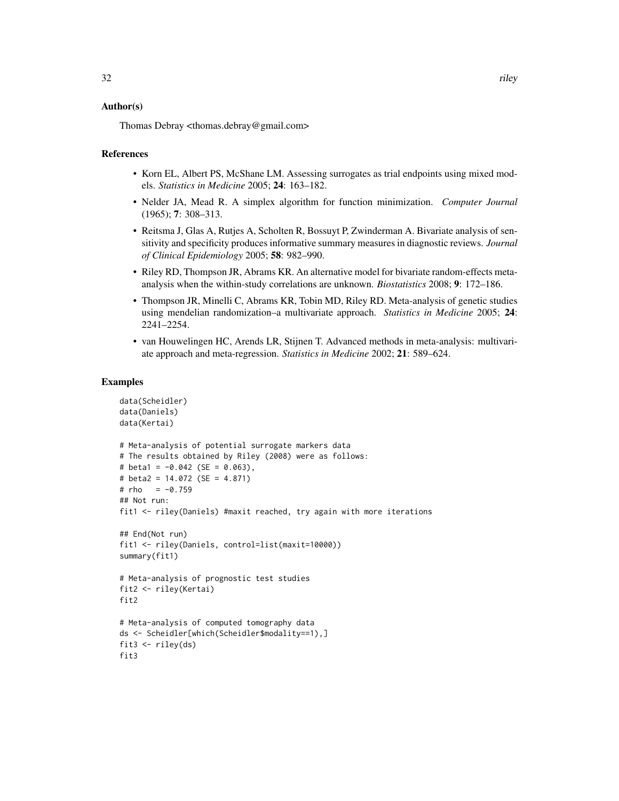#### Author(s)

Thomas Debray <thomas.debray@gmail.com>

#### References

- Korn EL, Albert PS, McShane LM. Assessing surrogates as trial endpoints using mixed models. *Statistics in Medicine* 2005; 24: 163–182.
- Nelder JA, Mead R. A simplex algorithm for function minimization. *Computer Journal* (1965); 7: 308–313.
- Reitsma J, Glas A, Rutjes A, Scholten R, Bossuyt P, Zwinderman A. Bivariate analysis of sensitivity and specificity produces informative summary measures in diagnostic reviews. *Journal of Clinical Epidemiology* 2005; 58: 982–990.
- Riley RD, Thompson JR, Abrams KR. An alternative model for bivariate random-effects metaanalysis when the within-study correlations are unknown. *Biostatistics* 2008; 9: 172–186.
- Thompson JR, Minelli C, Abrams KR, Tobin MD, Riley RD. Meta-analysis of genetic studies using mendelian randomization–a multivariate approach. *Statistics in Medicine* 2005; 24: 2241–2254.
- van Houwelingen HC, Arends LR, Stijnen T. Advanced methods in meta-analysis: multivariate approach and meta-regression. *Statistics in Medicine* 2002; 21: 589–624.

#### Examples

```
data(Scheidler)
data(Daniels)
data(Kertai)
# Meta-analysis of potential surrogate markers data
# The results obtained by Riley (2008) were as follows:
# beta1 = -0.042 (SE = 0.063),
# beta2 = 14.072 (SE = 4.871)
# rho = -0.759## Not run:
fit1 <- riley(Daniels) #maxit reached, try again with more iterations
## End(Not run)
fit1 <- riley(Daniels, control=list(maxit=10000))
summary(fit1)
# Meta-analysis of prognostic test studies
fit2 <- riley(Kertai)
fit2
# Meta-analysis of computed tomography data
ds <- Scheidler[which(Scheidler$modality==1),]
fit3 <- riley(ds)
fit3
```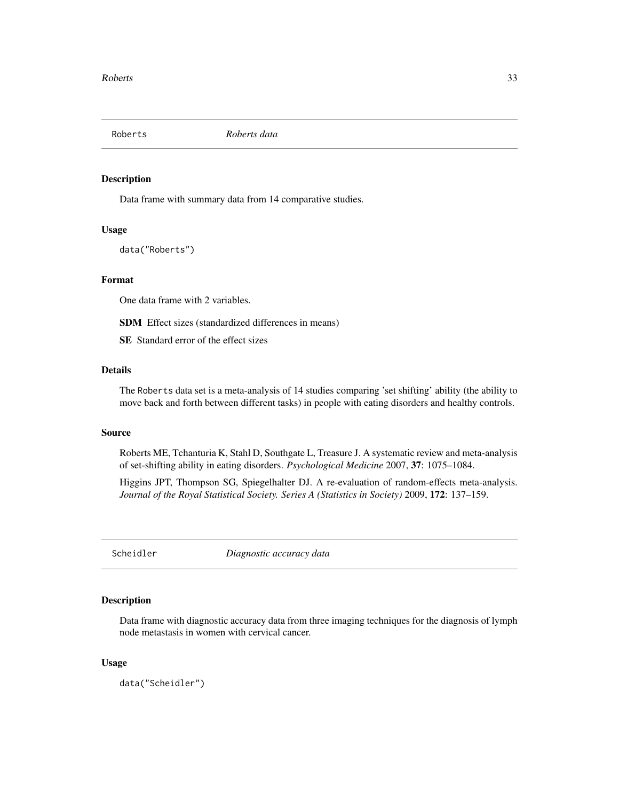<span id="page-32-0"></span>

# Description

Data frame with summary data from 14 comparative studies.

#### Usage

data("Roberts")

#### Format

One data frame with 2 variables.

SDM Effect sizes (standardized differences in means)

SE Standard error of the effect sizes

# Details

The Roberts data set is a meta-analysis of 14 studies comparing 'set shifting' ability (the ability to move back and forth between different tasks) in people with eating disorders and healthy controls.

# Source

Roberts ME, Tchanturia K, Stahl D, Southgate L, Treasure J. A systematic review and meta-analysis of set-shifting ability in eating disorders. *Psychological Medicine* 2007, 37: 1075–1084.

Higgins JPT, Thompson SG, Spiegelhalter DJ. A re-evaluation of random-effects meta-analysis. *Journal of the Royal Statistical Society. Series A (Statistics in Society)* 2009, 172: 137–159.

Scheidler *Diagnostic accuracy data*

#### Description

Data frame with diagnostic accuracy data from three imaging techniques for the diagnosis of lymph node metastasis in women with cervical cancer.

# Usage

data("Scheidler")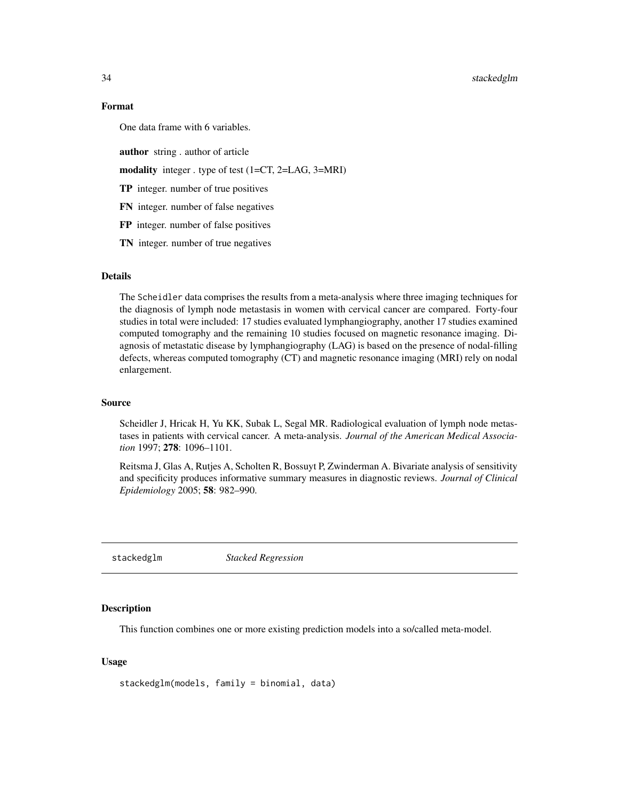<span id="page-33-0"></span>34 stackedglm

# Format

One data frame with 6 variables.

author string . author of article

modality integer . type of test (1=CT, 2=LAG, 3=MRI)

TP integer. number of true positives

FN integer. number of false negatives

FP integer. number of false positives

TN integer. number of true negatives

## Details

The Scheidler data comprises the results from a meta-analysis where three imaging techniques for the diagnosis of lymph node metastasis in women with cervical cancer are compared. Forty-four studies in total were included: 17 studies evaluated lymphangiography, another 17 studies examined computed tomography and the remaining 10 studies focused on magnetic resonance imaging. Diagnosis of metastatic disease by lymphangiography (LAG) is based on the presence of nodal-filling defects, whereas computed tomography (CT) and magnetic resonance imaging (MRI) rely on nodal enlargement.

#### Source

Scheidler J, Hricak H, Yu KK, Subak L, Segal MR. Radiological evaluation of lymph node metastases in patients with cervical cancer. A meta-analysis. *Journal of the American Medical Association* 1997; 278: 1096–1101.

Reitsma J, Glas A, Rutjes A, Scholten R, Bossuyt P, Zwinderman A. Bivariate analysis of sensitivity and specificity produces informative summary measures in diagnostic reviews. *Journal of Clinical Epidemiology* 2005; 58: 982–990.

stackedglm *Stacked Regression*

#### **Description**

This function combines one or more existing prediction models into a so/called meta-model.

#### Usage

```
stackedglm(models, family = binomial, data)
```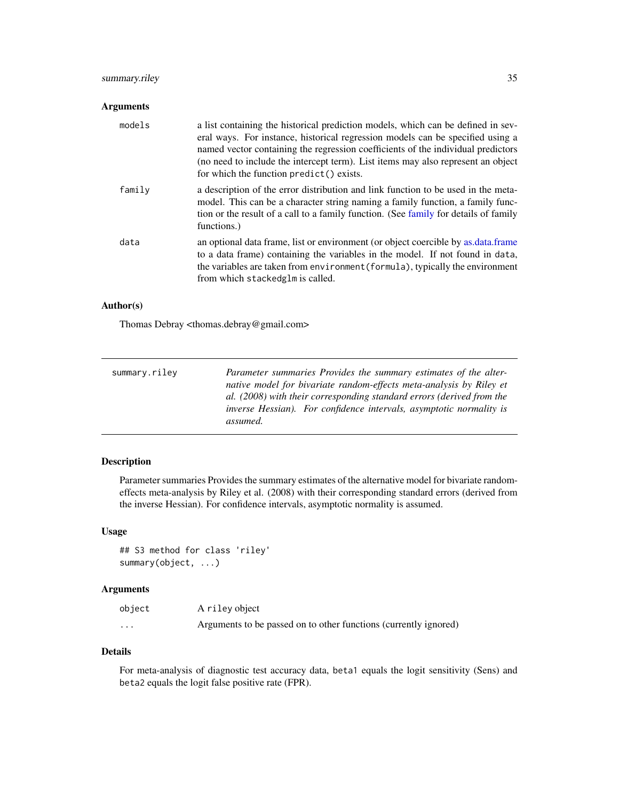# <span id="page-34-0"></span>summary.riley 35

# Arguments

| models | a list containing the historical prediction models, which can be defined in sev-<br>eral ways. For instance, historical regression models can be specified using a<br>named vector containing the regression coefficients of the individual predictors<br>(no need to include the intercept term). List items may also represent an object<br>for which the function predict () exists. |
|--------|-----------------------------------------------------------------------------------------------------------------------------------------------------------------------------------------------------------------------------------------------------------------------------------------------------------------------------------------------------------------------------------------|
| family | a description of the error distribution and link function to be used in the meta-<br>model. This can be a character string naming a family function, a family func-<br>tion or the result of a call to a family function. (See family for details of family<br>functions.)                                                                                                              |
| data   | an optional data frame, list or environment (or object coercible by as data frame<br>to a data frame) containing the variables in the model. If not found in data,<br>the variables are taken from environment (formula), typically the environment<br>from which stackedglm is called.                                                                                                 |

# Author(s)

Thomas Debray <thomas.debray@gmail.com>

| summary.riley | Parameter summaries Provides the summary estimates of the alter-            |
|---------------|-----------------------------------------------------------------------------|
|               | native model for bivariate random-effects meta-analysis by Riley et         |
|               | al. (2008) with their corresponding standard errors (derived from the       |
|               | <i>inverse Hessian</i> ). For confidence intervals, asymptotic normality is |
|               | assumed.                                                                    |

# Description

Parameter summaries Provides the summary estimates of the alternative model for bivariate randomeffects meta-analysis by Riley et al. (2008) with their corresponding standard errors (derived from the inverse Hessian). For confidence intervals, asymptotic normality is assumed.

### Usage

```
## S3 method for class 'riley'
summary(object, ...)
```
# Arguments

| object   | A riley object                                                   |
|----------|------------------------------------------------------------------|
| $\cdots$ | Arguments to be passed on to other functions (currently ignored) |

# Details

For meta-analysis of diagnostic test accuracy data, beta1 equals the logit sensitivity (Sens) and beta2 equals the logit false positive rate (FPR).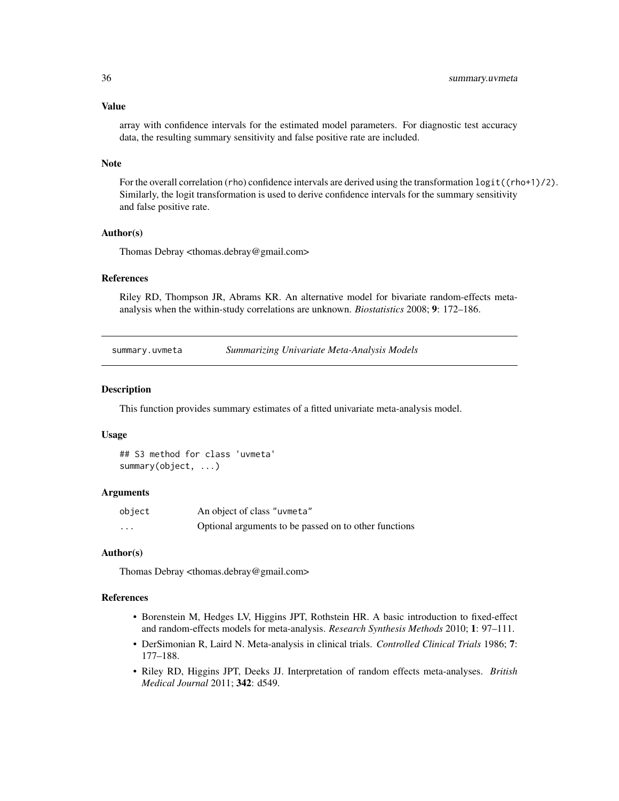#### <span id="page-35-0"></span>Value

array with confidence intervals for the estimated model parameters. For diagnostic test accuracy data, the resulting summary sensitivity and false positive rate are included.

#### Note

For the overall correlation (rho) confidence intervals are derived using the transformation  $\text{logit}((\text{rho}+1)/2)$ . Similarly, the logit transformation is used to derive confidence intervals for the summary sensitivity and false positive rate.

#### Author(s)

Thomas Debray <thomas.debray@gmail.com>

# References

Riley RD, Thompson JR, Abrams KR. An alternative model for bivariate random-effects metaanalysis when the within-study correlations are unknown. *Biostatistics* 2008; 9: 172–186.

| summary.uvmeta | <b>Summarizing Univariate Meta-Analysis Models</b> |  |
|----------------|----------------------------------------------------|--|
|----------------|----------------------------------------------------|--|

#### Description

This function provides summary estimates of a fitted univariate meta-analysis model.

#### Usage

```
## S3 method for class 'uvmeta'
summary(object, ...)
```
#### **Arguments**

| object   | An object of class "uvmeta"                           |
|----------|-------------------------------------------------------|
| $\cdots$ | Optional arguments to be passed on to other functions |

#### Author(s)

Thomas Debray <thomas.debray@gmail.com>

#### References

- Borenstein M, Hedges LV, Higgins JPT, Rothstein HR. A basic introduction to fixed-effect and random-effects models for meta-analysis. *Research Synthesis Methods* 2010; 1: 97–111.
- DerSimonian R, Laird N. Meta-analysis in clinical trials. *Controlled Clinical Trials* 1986; 7: 177–188.
- Riley RD, Higgins JPT, Deeks JJ. Interpretation of random effects meta-analyses. *British Medical Journal* 2011; 342: d549.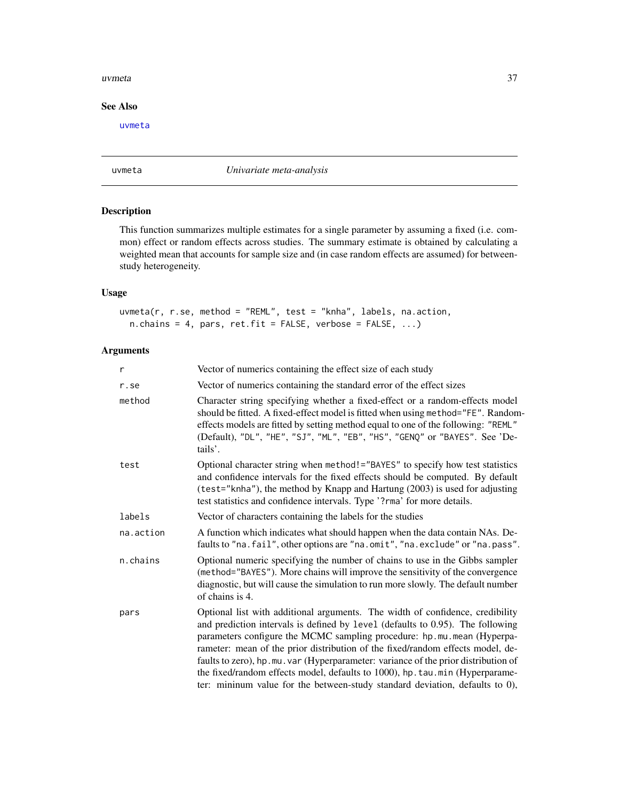#### <span id="page-36-0"></span>uvmeta 37

# See Also

[uvmeta](#page-36-1)

<span id="page-36-1"></span>uvmeta *Univariate meta-analysis*

# Description

This function summarizes multiple estimates for a single parameter by assuming a fixed (i.e. common) effect or random effects across studies. The summary estimate is obtained by calculating a weighted mean that accounts for sample size and (in case random effects are assumed) for betweenstudy heterogeneity.

#### Usage

uvmeta(r, r.se, method = "REML", test = "knha", labels, na.action,  $n.$ chains = 4, pars, ret.fit = FALSE, verbose = FALSE, ...)

# Arguments

| r         | Vector of numerics containing the effect size of each study                                                                                                                                                                                                                                                                                                                                                                                                                                                                                                                      |
|-----------|----------------------------------------------------------------------------------------------------------------------------------------------------------------------------------------------------------------------------------------------------------------------------------------------------------------------------------------------------------------------------------------------------------------------------------------------------------------------------------------------------------------------------------------------------------------------------------|
| r.se      | Vector of numerics containing the standard error of the effect sizes                                                                                                                                                                                                                                                                                                                                                                                                                                                                                                             |
| method    | Character string specifying whether a fixed-effect or a random-effects model<br>should be fitted. A fixed-effect model is fitted when using method="FE". Random-<br>effects models are fitted by setting method equal to one of the following: "REML"<br>(Default), "DL", "HE", "SJ", "ML", "EB", "HS", "GENQ" or "BAYES". See 'De-<br>tails'.                                                                                                                                                                                                                                   |
| test      | Optional character string when method!="BAYES" to specify how test statistics<br>and confidence intervals for the fixed effects should be computed. By default<br>(test="knha"), the method by Knapp and Hartung (2003) is used for adjusting<br>test statistics and confidence intervals. Type '?rma' for more details.                                                                                                                                                                                                                                                         |
| labels    | Vector of characters containing the labels for the studies                                                                                                                                                                                                                                                                                                                                                                                                                                                                                                                       |
| na.action | A function which indicates what should happen when the data contain NAs. De-<br>faults to "na. fail", other options are "na. omit", "na. exclude" or "na. pass".                                                                                                                                                                                                                                                                                                                                                                                                                 |
| n.chains  | Optional numeric specifying the number of chains to use in the Gibbs sampler<br>(method="BAYES"). More chains will improve the sensitivity of the convergence<br>diagnostic, but will cause the simulation to run more slowly. The default number<br>of chains is 4.                                                                                                                                                                                                                                                                                                             |
| pars      | Optional list with additional arguments. The width of confidence, credibility<br>and prediction intervals is defined by level (defaults to 0.95). The following<br>parameters configure the MCMC sampling procedure: hp.mu.mean (Hyperpa-<br>rameter: mean of the prior distribution of the fixed/random effects model, de-<br>faults to zero), hp.mu.var (Hyperparameter: variance of the prior distribution of<br>the fixed/random effects model, defaults to 1000), hp. tau.min (Hyperparame-<br>ter: mininum value for the between-study standard deviation, defaults to 0), |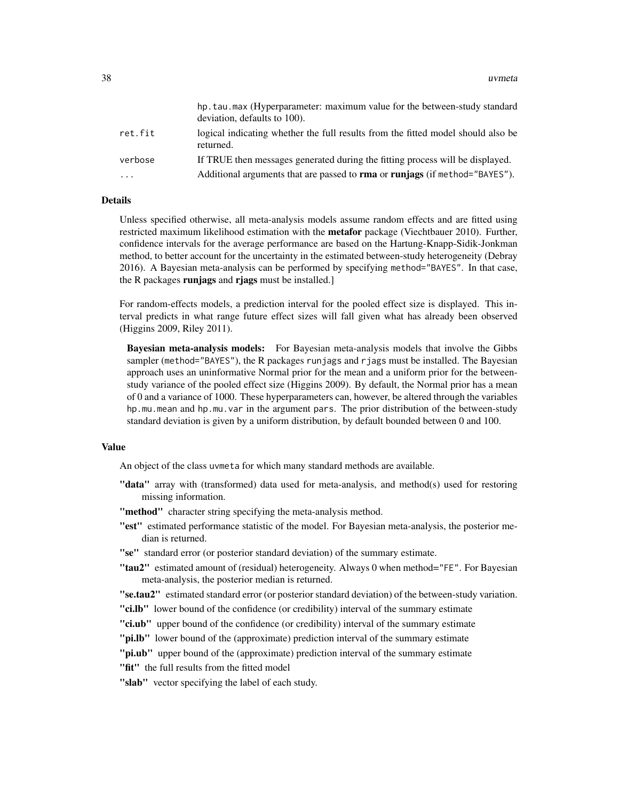|                         | hp.tau.max (Hyperparameter: maximum value for the between-study standard<br>deviation, defaults to 100). |
|-------------------------|----------------------------------------------------------------------------------------------------------|
| ret.fit                 | logical indicating whether the full results from the fitted model should also be<br>returned.            |
| verbose                 | If TRUE then messages generated during the fitting process will be displayed.                            |
| $\cdot$ $\cdot$ $\cdot$ | Additional arguments that are passed to <b>rma</b> or <b>runiags</b> (if method="BAYES").                |

# Details

Unless specified otherwise, all meta-analysis models assume random effects and are fitted using restricted maximum likelihood estimation with the **metafor** package (Viechtbauer 2010). Further, confidence intervals for the average performance are based on the Hartung-Knapp-Sidik-Jonkman method, to better account for the uncertainty in the estimated between-study heterogeneity (Debray 2016). A Bayesian meta-analysis can be performed by specifying method="BAYES". In that case, the R packages runjags and riags must be installed.

For random-effects models, a prediction interval for the pooled effect size is displayed. This interval predicts in what range future effect sizes will fall given what has already been observed (Higgins 2009, Riley 2011).

Bayesian meta-analysis models: For Bayesian meta-analysis models that involve the Gibbs sampler (method="BAYES"), the R packages runjags and rjags must be installed. The Bayesian approach uses an uninformative Normal prior for the mean and a uniform prior for the betweenstudy variance of the pooled effect size (Higgins 2009). By default, the Normal prior has a mean of 0 and a variance of 1000. These hyperparameters can, however, be altered through the variables hp.mu.mean and hp.mu.var in the argument pars. The prior distribution of the between-study standard deviation is given by a uniform distribution, by default bounded between 0 and 100.

#### Value

An object of the class uvmeta for which many standard methods are available.

- "data" array with (transformed) data used for meta-analysis, and method(s) used for restoring missing information.
- "method" character string specifying the meta-analysis method.
- "est" estimated performance statistic of the model. For Bayesian meta-analysis, the posterior median is returned.
- "se" standard error (or posterior standard deviation) of the summary estimate.
- "tau2" estimated amount of (residual) heterogeneity. Always 0 when method="FE". For Bayesian meta-analysis, the posterior median is returned.

"se.tau2" estimated standard error (or posterior standard deviation) of the between-study variation.

- **"ci.lb"** lower bound of the confidence (or credibility) interval of the summary estimate
- "ci.ub" upper bound of the confidence (or credibility) interval of the summary estimate
- "pi.lb" lower bound of the (approximate) prediction interval of the summary estimate
- "**pi.ub**" upper bound of the (approximate) prediction interval of the summary estimate
- "fit" the full results from the fitted model

"slab" vector specifying the label of each study.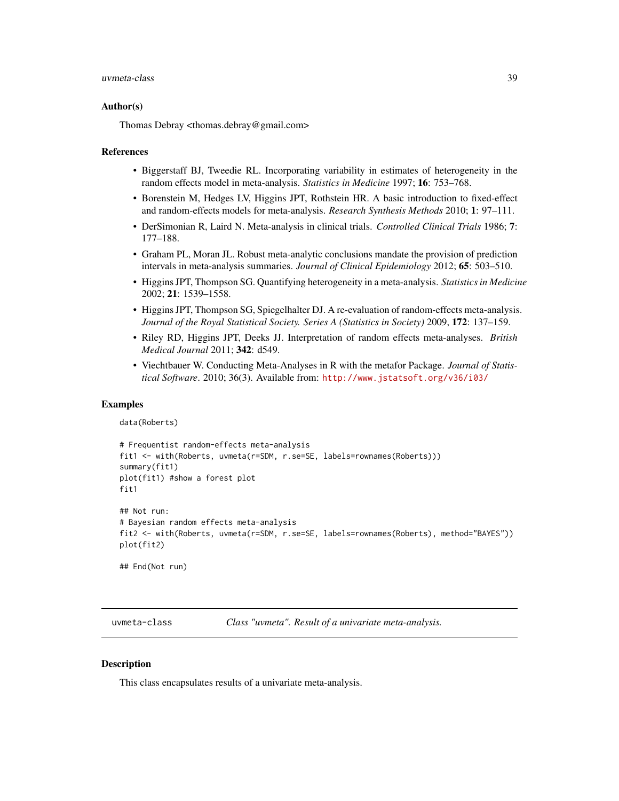#### <span id="page-38-0"></span>uvmeta-class 39

#### Author(s)

Thomas Debray <thomas.debray@gmail.com>

#### References

- Biggerstaff BJ, Tweedie RL. Incorporating variability in estimates of heterogeneity in the random effects model in meta-analysis. *Statistics in Medicine* 1997; 16: 753–768.
- Borenstein M, Hedges LV, Higgins JPT, Rothstein HR. A basic introduction to fixed-effect and random-effects models for meta-analysis. *Research Synthesis Methods* 2010; 1: 97–111.
- DerSimonian R, Laird N. Meta-analysis in clinical trials. *Controlled Clinical Trials* 1986; 7: 177–188.
- Graham PL, Moran JL. Robust meta-analytic conclusions mandate the provision of prediction intervals in meta-analysis summaries. *Journal of Clinical Epidemiology* 2012; 65: 503–510.
- Higgins JPT, Thompson SG. Quantifying heterogeneity in a meta-analysis. *Statistics in Medicine* 2002; 21: 1539–1558.
- Higgins JPT, Thompson SG, Spiegelhalter DJ. A re-evaluation of random-effects meta-analysis. *Journal of the Royal Statistical Society. Series A (Statistics in Society)* 2009, 172: 137–159.
- Riley RD, Higgins JPT, Deeks JJ. Interpretation of random effects meta-analyses. *British Medical Journal* 2011; 342: d549.
- Viechtbauer W. Conducting Meta-Analyses in R with the metafor Package. *Journal of Statistical Software*. 2010; 36(3). Available from: <http://www.jstatsoft.org/v36/i03/>

#### Examples

```
data(Roberts)
```

```
# Frequentist random-effects meta-analysis
fit1 <- with(Roberts, uvmeta(r=SDM, r.se=SE, labels=rownames(Roberts)))
summary(fit1)
plot(fit1) #show a forest plot
fit1
## Not run:
# Bayesian random effects meta-analysis
fit2 <- with(Roberts, uvmeta(r=SDM, r.se=SE, labels=rownames(Roberts), method="BAYES"))
plot(fit2)
```
## End(Not run)

uvmeta-class *Class "uvmeta". Result of a univariate meta-analysis.*

#### Description

This class encapsulates results of a univariate meta-analysis.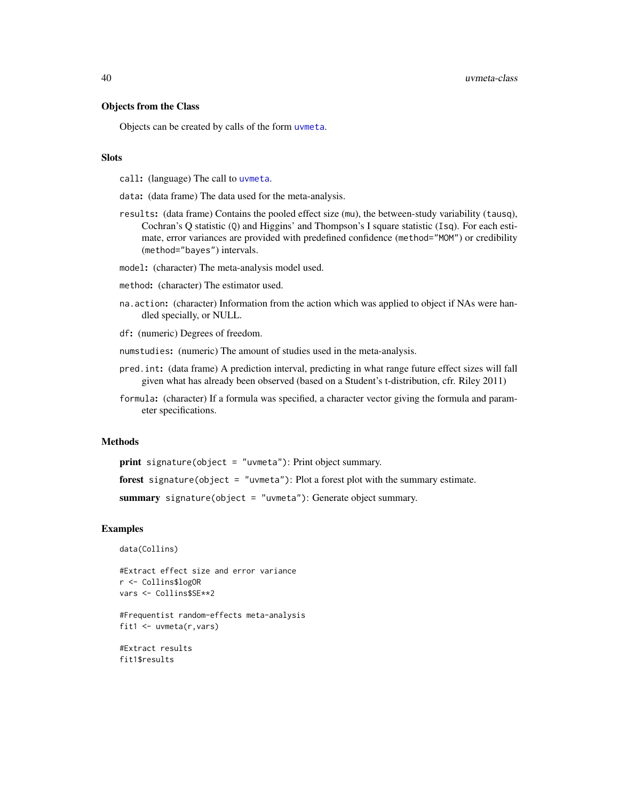<span id="page-39-0"></span>40 uvmeta-class

# Objects from the Class

Objects can be created by calls of the form [uvmeta](#page-36-1).

#### **Slots**

call: (language) The call to [uvmeta](#page-36-1).

data: (data frame) The data used for the meta-analysis.

results: (data frame) Contains the pooled effect size (mu), the between-study variability (tausq), Cochran's Q statistic (Q) and Higgins' and Thompson's I square statistic (Isq). For each estimate, error variances are provided with predefined confidence (method="MOM") or credibility (method="bayes") intervals.

model: (character) The meta-analysis model used.

method: (character) The estimator used.

na.action: (character) Information from the action which was applied to object if NAs were handled specially, or NULL.

df: (numeric) Degrees of freedom.

numstudies: (numeric) The amount of studies used in the meta-analysis.

- pred.int: (data frame) A prediction interval, predicting in what range future effect sizes will fall given what has already been observed (based on a Student's t-distribution, cfr. Riley 2011)
- formula: (character) If a formula was specified, a character vector giving the formula and parameter specifications.

#### Methods

print signature(object = "uvmeta"): Print object summary.

forest signature(object = "uvmeta"): Plot a forest plot with the summary estimate.

summary signature(object = "uvmeta"): Generate object summary.

#### Examples

data(Collins)

```
#Extract effect size and error variance
r <- Collins$logOR
vars <- Collins$SE**2
```
#Frequentist random-effects meta-analysis fit1 <- uvmeta(r,vars)

#Extract results fit1\$results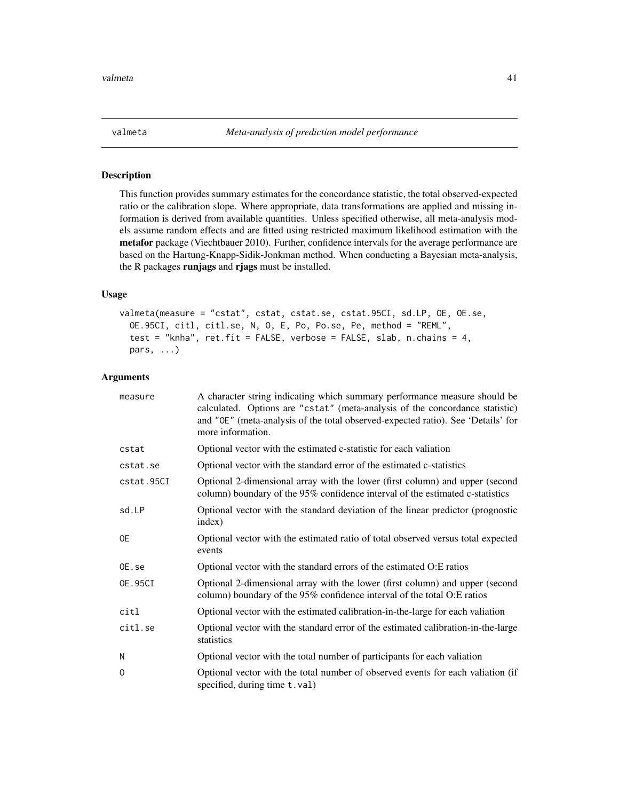<span id="page-40-1"></span><span id="page-40-0"></span>

#### Description

This function provides summary estimates for the concordance statistic, the total observed-expected ratio or the calibration slope. Where appropriate, data transformations are applied and missing information is derived from available quantities. Unless specified otherwise, all meta-analysis models assume random effects and are fitted using restricted maximum likelihood estimation with the metafor package (Viechtbauer 2010). Further, confidence intervals for the average performance are based on the Hartung-Knapp-Sidik-Jonkman method. When conducting a Bayesian meta-analysis, the R packages runjags and rjags must be installed.

#### Usage

```
valmeta(measure = "cstat", cstat, cstat.se, cstat.95CI, sd.LP, OE, OE.se,
  OE.95CI, citl, citl.se, N, O, E, Po, Po.se, Pe, method = "REML",
  test = "knha", ret.fit = FALSE, verbose = FALSE, slab, n.chains = 4,
 pars, ...)
```
## Arguments

| measure    | A character string indicating which summary performance measure should be<br>calculated. Options are "cstat" (meta-analysis of the concordance statistic)<br>and "OE" (meta-analysis of the total observed-expected ratio). See 'Details' for<br>more information. |
|------------|--------------------------------------------------------------------------------------------------------------------------------------------------------------------------------------------------------------------------------------------------------------------|
| cstat      | Optional vector with the estimated c-statistic for each valiation                                                                                                                                                                                                  |
| cstat.se   | Optional vector with the standard error of the estimated c-statistics                                                                                                                                                                                              |
| cstat.95CI | Optional 2-dimensional array with the lower (first column) and upper (second<br>column) boundary of the 95% confidence interval of the estimated c-statistics                                                                                                      |
| sd.LP      | Optional vector with the standard deviation of the linear predictor (prognostic<br>index)                                                                                                                                                                          |
| 0E         | Optional vector with the estimated ratio of total observed versus total expected<br>events                                                                                                                                                                         |
| OE.se      | Optional vector with the standard errors of the estimated O:E ratios                                                                                                                                                                                               |
| OE.95CI    | Optional 2-dimensional array with the lower (first column) and upper (second<br>column) boundary of the 95% confidence interval of the total O:E ratios                                                                                                            |
| citl       | Optional vector with the estimated calibration-in-the-large for each valiation                                                                                                                                                                                     |
| citl.se    | Optional vector with the standard error of the estimated calibration-in-the-large<br>statistics                                                                                                                                                                    |
| Ν          | Optional vector with the total number of participants for each valiation                                                                                                                                                                                           |
| 0          | Optional vector with the total number of observed events for each valiation (if<br>specified, during time t.val)                                                                                                                                                   |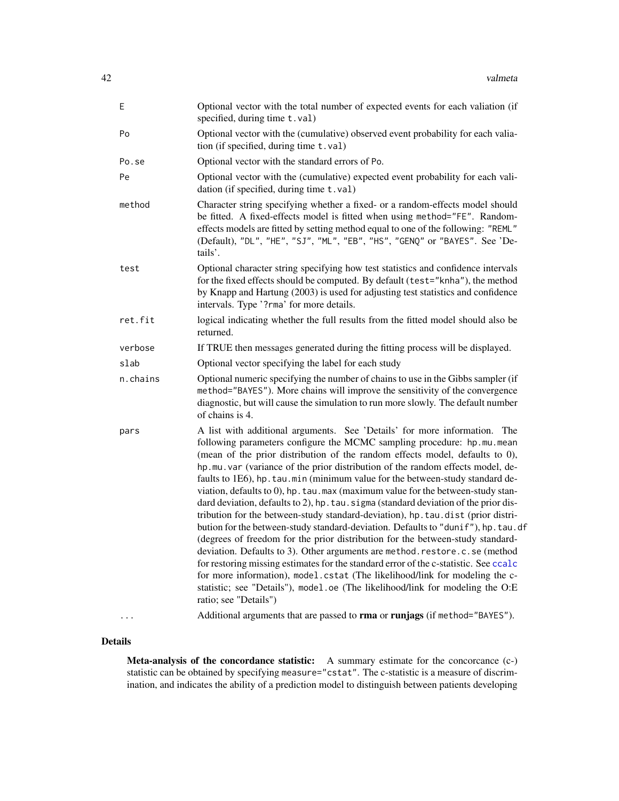<span id="page-41-0"></span>

| Ε        | Optional vector with the total number of expected events for each valiation (if<br>specified, during time t.val)                                                                                                                                                                                                                                                                                                                                                                                                                                                                                                                                                                                                                                                                                                                                                                                                                                                                                                                                                                                                                                                                                              |
|----------|---------------------------------------------------------------------------------------------------------------------------------------------------------------------------------------------------------------------------------------------------------------------------------------------------------------------------------------------------------------------------------------------------------------------------------------------------------------------------------------------------------------------------------------------------------------------------------------------------------------------------------------------------------------------------------------------------------------------------------------------------------------------------------------------------------------------------------------------------------------------------------------------------------------------------------------------------------------------------------------------------------------------------------------------------------------------------------------------------------------------------------------------------------------------------------------------------------------|
| Po       | Optional vector with the (cumulative) observed event probability for each valia-<br>tion (if specified, during time t.val)                                                                                                                                                                                                                                                                                                                                                                                                                                                                                                                                                                                                                                                                                                                                                                                                                                                                                                                                                                                                                                                                                    |
| Po.se    | Optional vector with the standard errors of Po.                                                                                                                                                                                                                                                                                                                                                                                                                                                                                                                                                                                                                                                                                                                                                                                                                                                                                                                                                                                                                                                                                                                                                               |
| Pe       | Optional vector with the (cumulative) expected event probability for each vali-<br>dation (if specified, during time t.val)                                                                                                                                                                                                                                                                                                                                                                                                                                                                                                                                                                                                                                                                                                                                                                                                                                                                                                                                                                                                                                                                                   |
| method   | Character string specifying whether a fixed- or a random-effects model should<br>be fitted. A fixed-effects model is fitted when using method="FE". Random-<br>effects models are fitted by setting method equal to one of the following: "REML"<br>(Default), "DL", "HE", "SJ", "ML", "EB", "HS", "GENQ" or "BAYES". See 'De-<br>tails'.                                                                                                                                                                                                                                                                                                                                                                                                                                                                                                                                                                                                                                                                                                                                                                                                                                                                     |
| test     | Optional character string specifying how test statistics and confidence intervals<br>for the fixed effects should be computed. By default (test="knha"), the method<br>by Knapp and Hartung (2003) is used for adjusting test statistics and confidence<br>intervals. Type '?rma' for more details.                                                                                                                                                                                                                                                                                                                                                                                                                                                                                                                                                                                                                                                                                                                                                                                                                                                                                                           |
| ret.fit  | logical indicating whether the full results from the fitted model should also be<br>returned.                                                                                                                                                                                                                                                                                                                                                                                                                                                                                                                                                                                                                                                                                                                                                                                                                                                                                                                                                                                                                                                                                                                 |
| verbose  | If TRUE then messages generated during the fitting process will be displayed.                                                                                                                                                                                                                                                                                                                                                                                                                                                                                                                                                                                                                                                                                                                                                                                                                                                                                                                                                                                                                                                                                                                                 |
| slab     | Optional vector specifying the label for each study                                                                                                                                                                                                                                                                                                                                                                                                                                                                                                                                                                                                                                                                                                                                                                                                                                                                                                                                                                                                                                                                                                                                                           |
| n.chains | Optional numeric specifying the number of chains to use in the Gibbs sampler (if<br>method="BAYES"). More chains will improve the sensitivity of the convergence<br>diagnostic, but will cause the simulation to run more slowly. The default number<br>of chains is 4.                                                                                                                                                                                                                                                                                                                                                                                                                                                                                                                                                                                                                                                                                                                                                                                                                                                                                                                                       |
| pars     | A list with additional arguments. See 'Details' for more information. The<br>following parameters configure the MCMC sampling procedure: hp.mu.mean<br>(mean of the prior distribution of the random effects model, defaults to 0),<br>hp.mu.var (variance of the prior distribution of the random effects model, de-<br>faults to 1E6), hp. tau. min (minimum value for the between-study standard de-<br>viation, defaults to 0), hp. tau. max (maximum value for the between-study stan-<br>dard deviation, defaults to 2), hp. tau. sigma (standard deviation of the prior dis-<br>tribution for the between-study standard-deviation), hp. tau.dist (prior distri-<br>bution for the between-study standard-deviation. Defaults to "dunif"), hp. tau.df<br>(degrees of freedom for the prior distribution for the between-study standard-<br>deviation. Defaults to 3). Other arguments are method.restore.c.se (method<br>for restoring missing estimates for the standard error of the c-statistic. See ccalc<br>for more information), model.cstat (The likelihood/link for modeling the c-<br>statistic; see "Details"), model.oe (The likelihood/link for modeling the O:E<br>ratio; see "Details") |
|          | Additional arguments that are passed to rma or runjags (if method="BAYES").                                                                                                                                                                                                                                                                                                                                                                                                                                                                                                                                                                                                                                                                                                                                                                                                                                                                                                                                                                                                                                                                                                                                   |

Details

Meta-analysis of the concordance statistic: A summary estimate for the concorcance (c-) statistic can be obtained by specifying measure="cstat". The c-statistic is a measure of discrimination, and indicates the ability of a prediction model to distinguish between patients developing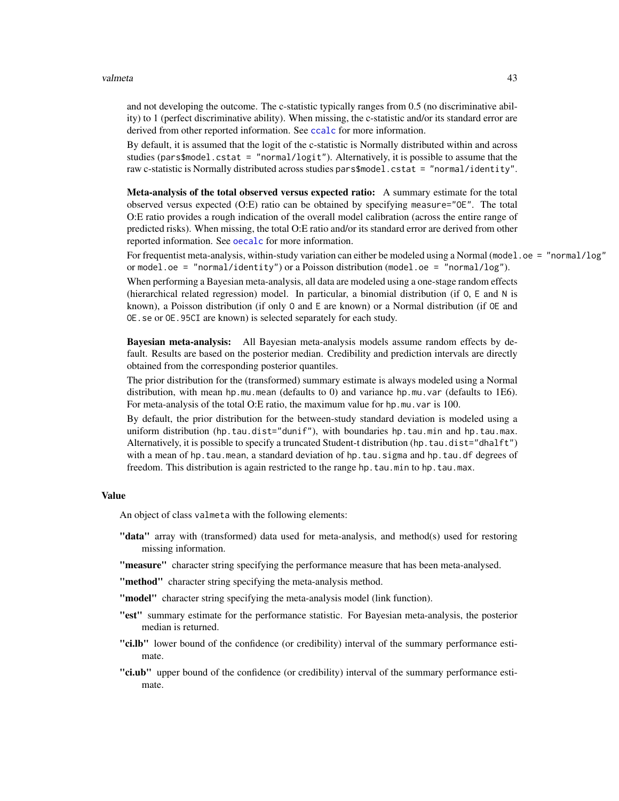#### <span id="page-42-0"></span>valmeta ta kwa kusinga kwa kusinga wa 13

and not developing the outcome. The c-statistic typically ranges from 0.5 (no discriminative ability) to 1 (perfect discriminative ability). When missing, the c-statistic and/or its standard error are derived from other reported information. See [ccalc](#page-2-1) for more information.

By default, it is assumed that the logit of the c-statistic is Normally distributed within and across studies ( $pars$model.cstat = "normal/logit".$  Alternatively, it is possible to assume that the raw c-statistic is Normally distributed across studies pars\$model.cstat = "normal/identity".

Meta-analysis of the total observed versus expected ratio: A summary estimate for the total observed versus expected (O:E) ratio can be obtained by specifying measure="OE". The total O:E ratio provides a rough indication of the overall model calibration (across the entire range of predicted risks). When missing, the total O:E ratio and/or its standard error are derived from other reported information. See [oecalc](#page-22-1) for more information.

For frequentist meta-analysis, within-study variation can either be modeled using a Normal (model.oe = "normal/log" or model.oe = "normal/identity") or a Poisson distribution (model.oe = "normal/log").

When performing a Bayesian meta-analysis, all data are modeled using a one-stage random effects (hierarchical related regression) model. In particular, a binomial distribution (if O, E and N is known), a Poisson distribution (if only O and E are known) or a Normal distribution (if OE and OE.se or OE.95CI are known) is selected separately for each study.

Bayesian meta-analysis: All Bayesian meta-analysis models assume random effects by default. Results are based on the posterior median. Credibility and prediction intervals are directly obtained from the corresponding posterior quantiles.

The prior distribution for the (transformed) summary estimate is always modeled using a Normal distribution, with mean hp.mu.mean (defaults to 0) and variance hp.mu.var (defaults to 1E6). For meta-analysis of the total O:E ratio, the maximum value for hp.mu.var is 100.

By default, the prior distribution for the between-study standard deviation is modeled using a uniform distribution (hp.tau.dist="dunif"), with boundaries hp.tau.min and hp.tau.max. Alternatively, it is possible to specify a truncated Student-t distribution (hp.tau.dist="dhalft") with a mean of hp.tau.mean, a standard deviation of hp.tau.sigma and hp.tau.df degrees of freedom. This distribution is again restricted to the range hp.tau.min to hp.tau.max.

#### Value

An object of class valmeta with the following elements:

- "data" array with (transformed) data used for meta-analysis, and method(s) used for restoring missing information.
- "measure" character string specifying the performance measure that has been meta-analysed.
- "method" character string specifying the meta-analysis method.
- "model" character string specifying the meta-analysis model (link function).
- "est" summary estimate for the performance statistic. For Bayesian meta-analysis, the posterior median is returned.
- "ci.lb" lower bound of the confidence (or credibility) interval of the summary performance estimate.
- "ci.ub" upper bound of the confidence (or credibility) interval of the summary performance estimate.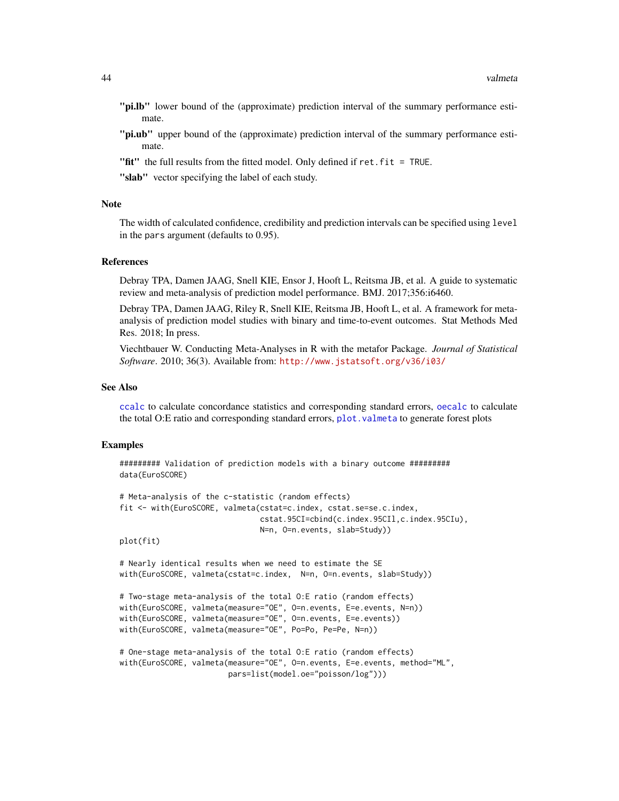- <span id="page-43-0"></span>"pi.lb" lower bound of the (approximate) prediction interval of the summary performance estimate.
- "pi.ub" upper bound of the (approximate) prediction interval of the summary performance estimate.
- "fit" the full results from the fitted model. Only defined if ret.fit = TRUE.
- "slab" vector specifying the label of each study.

#### Note

The width of calculated confidence, credibility and prediction intervals can be specified using level in the pars argument (defaults to 0.95).

# References

Debray TPA, Damen JAAG, Snell KIE, Ensor J, Hooft L, Reitsma JB, et al. A guide to systematic review and meta-analysis of prediction model performance. BMJ. 2017;356:i6460.

Debray TPA, Damen JAAG, Riley R, Snell KIE, Reitsma JB, Hooft L, et al. A framework for metaanalysis of prediction model studies with binary and time-to-event outcomes. Stat Methods Med Res. 2018; In press.

Viechtbauer W. Conducting Meta-Analyses in R with the metafor Package. *Journal of Statistical Software*. 2010; 36(3). Available from: <http://www.jstatsoft.org/v36/i03/>

#### See Also

[ccalc](#page-2-1) to calculate concordance statistics and corresponding standard errors, [oecalc](#page-22-1) to calculate the total O:E ratio and corresponding standard errors, [plot.valmeta](#page-26-1) to generate forest plots

#### Examples

```
######### Validation of prediction models with a binary outcome #########
data(EuroSCORE)
```

```
# Meta-analysis of the c-statistic (random effects)
fit <- with(EuroSCORE, valmeta(cstat=c.index, cstat.se=se.c.index,
                               cstat.95CI=cbind(c.index.95CIl,c.index.95CIu),
                               N=n, O=n.events, slab=Study))
plot(fit)
```
# Nearly identical results when we need to estimate the SE with(EuroSCORE, valmeta(cstat=c.index, N=n, O=n.events, slab=Study))

```
# Two-stage meta-analysis of the total O:E ratio (random effects)
with(EuroSCORE, valmeta(measure="OE", O=n.events, E=e.events, N=n))
with(EuroSCORE, valmeta(measure="OE", O=n.events, E=e.events))
with(EuroSCORE, valmeta(measure="OE", Po=Po, Pe=Pe, N=n))
```

```
# One-stage meta-analysis of the total O:E ratio (random effects)
with(EuroSCORE, valmeta(measure="OE", O=n.events, E=e.events, method="ML",
                       pars=list(model.oe="poisson/log")))
```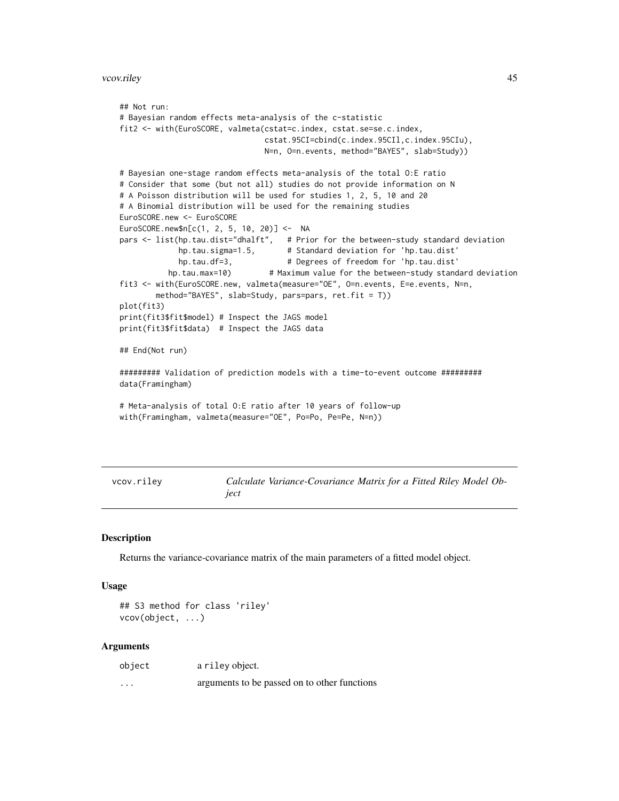```
## Not run:
# Bayesian random effects meta-analysis of the c-statistic
fit2 <- with(EuroSCORE, valmeta(cstat=c.index, cstat.se=se.c.index,
                               cstat.95CI=cbind(c.index.95CIl,c.index.95CIu),
                               N=n, O=n.events, method="BAYES", slab=Study))
# Bayesian one-stage random effects meta-analysis of the total O:E ratio
# Consider that some (but not all) studies do not provide information on N
# A Poisson distribution will be used for studies 1, 2, 5, 10 and 20
# A Binomial distribution will be used for the remaining studies
EuroSCORE.new <- EuroSCORE
EuroSCORE.new$n[c(1, 2, 5, 10, 20)] <- NA
pars <- list(hp.tau.dist="dhalft", # Prior for the between-study standard deviation
            hp.tau.sigma=1.5, # Standard deviation for 'hp.tau.dist'
            hp.tau.df=3, # Degrees of freedom for 'hp.tau.dist'
          hp.tau.max=10) # Maximum value for the between-study standard deviation
fit3 <- with(EuroSCORE.new, valmeta(measure="OE", O=n.events, E=e.events, N=n,
       method="BAYES", slab=Study, pars=pars, ret.fit = T))
plot(fit3)
print(fit3$fit$model) # Inspect the JAGS model
print(fit3$fit$data) # Inspect the JAGS data
## End(Not run)
######### Validation of prediction models with a time-to-event outcome #########
data(Framingham)
# Meta-analysis of total O:E ratio after 10 years of follow-up
with(Framingham, valmeta(measure="OE", Po=Po, Pe=Pe, N=n))
```

| vcov.rilev | Calculate Variance-Covariance Matrix for a Fitted Riley Model Ob- |
|------------|-------------------------------------------------------------------|
|            | iect                                                              |

#### Description

Returns the variance-covariance matrix of the main parameters of a fitted model object.

#### Usage

```
## S3 method for class 'riley'
vcov(object, ...)
```
#### Arguments

| object   | a riley object.                              |
|----------|----------------------------------------------|
| $\cdots$ | arguments to be passed on to other functions |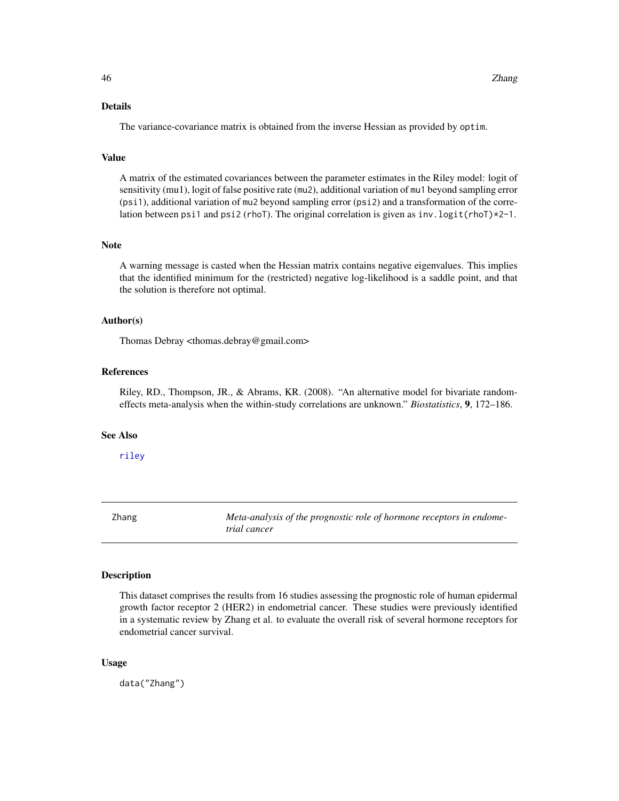#### <span id="page-45-0"></span>Value

A matrix of the estimated covariances between the parameter estimates in the Riley model: logit of sensitivity (mu1), logit of false positive rate (mu2), additional variation of mu1 beyond sampling error (psi1), additional variation of mu2 beyond sampling error (psi2) and a transformation of the correlation between psi1 and psi2 (rhoT). The original correlation is given as  $inv.logit(rhoT)*2-1$ .

#### Note

A warning message is casted when the Hessian matrix contains negative eigenvalues. This implies that the identified minimum for the (restricted) negative log-likelihood is a saddle point, and that the solution is therefore not optimal.

# Author(s)

Thomas Debray <thomas.debray@gmail.com>

# References

Riley, RD., Thompson, JR., & Abrams, KR. (2008). "An alternative model for bivariate randomeffects meta-analysis when the within-study correlations are unknown." *Biostatistics*, 9, 172–186.

#### See Also

[riley](#page-29-1)

Zhang *Meta-analysis of the prognostic role of hormone receptors in endometrial cancer*

#### Description

This dataset comprises the results from 16 studies assessing the prognostic role of human epidermal growth factor receptor 2 (HER2) in endometrial cancer. These studies were previously identified in a systematic review by Zhang et al. to evaluate the overall risk of several hormone receptors for endometrial cancer survival.

#### Usage

data("Zhang")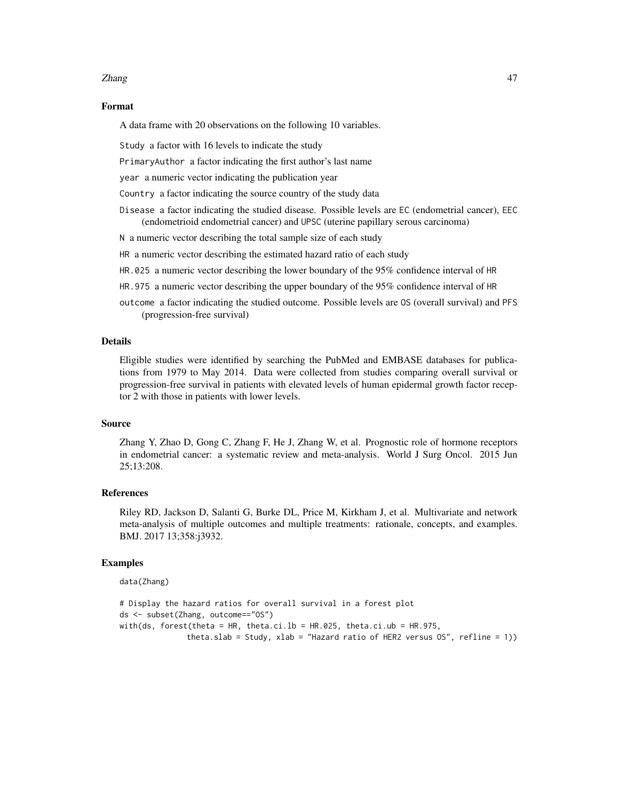#### Zhang 47

#### Format

A data frame with 20 observations on the following 10 variables.

Study a factor with 16 levels to indicate the study

PrimaryAuthor a factor indicating the first author's last name

year a numeric vector indicating the publication year

Country a factor indicating the source country of the study data

Disease a factor indicating the studied disease. Possible levels are EC (endometrial cancer), EEC (endometrioid endometrial cancer) and UPSC (uterine papillary serous carcinoma)

N a numeric vector describing the total sample size of each study

HR a numeric vector describing the estimated hazard ratio of each study

- HR.025 a numeric vector describing the lower boundary of the 95% confidence interval of HR
- HR.975 a numeric vector describing the upper boundary of the 95% confidence interval of HR
- outcome a factor indicating the studied outcome. Possible levels are OS (overall survival) and PFS (progression-free survival)

#### Details

Eligible studies were identified by searching the PubMed and EMBASE databases for publications from 1979 to May 2014. Data were collected from studies comparing overall survival or progression-free survival in patients with elevated levels of human epidermal growth factor receptor 2 with those in patients with lower levels.

#### Source

Zhang Y, Zhao D, Gong C, Zhang F, He J, Zhang W, et al. Prognostic role of hormone receptors in endometrial cancer: a systematic review and meta-analysis. World J Surg Oncol. 2015 Jun 25;13:208.

# References

Riley RD, Jackson D, Salanti G, Burke DL, Price M, Kirkham J, et al. Multivariate and network meta-analysis of multiple outcomes and multiple treatments: rationale, concepts, and examples. BMJ. 2017 13;358:j3932.

#### Examples

data(Zhang)

```
# Display the hazard ratios for overall survival in a forest plot
ds <- subset(Zhang, outcome=="OS")
with(ds, forest(theta = HR, theta.ci.lb = HR.025, theta.ci.ub = HR.975,
              theta.slab = Study, xlab = "Hazard ratio of HER2 versus OS", refline = 1))
```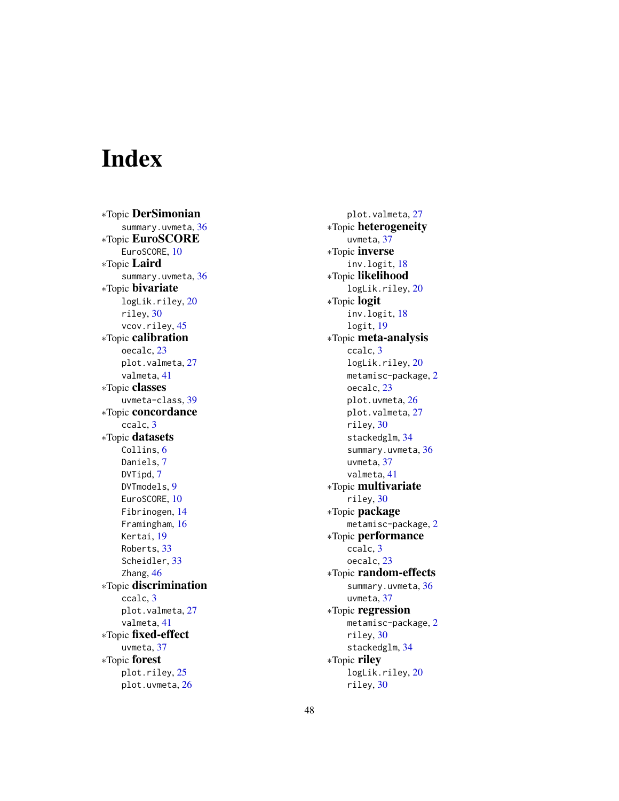# <span id="page-47-0"></span>Index

∗Topic DerSimonian summary.uvmeta, [36](#page-35-0) ∗Topic EuroSCORE EuroSCORE, [10](#page-9-0) ∗Topic Laird summary.uvmeta, [36](#page-35-0) ∗Topic bivariate logLik.riley, [20](#page-19-0) riley , [30](#page-29-0) vcov.riley, [45](#page-44-0) ∗Topic calibration oecalc , [23](#page-22-0) plot.valmeta, [27](#page-26-0) valmeta , [41](#page-40-0) ∗Topic classes uvmeta-class , [39](#page-38-0) ∗Topic concordance ccalc , [3](#page-2-0) ∗Topic datasets Collins, [6](#page-5-0) Daniels , [7](#page-6-0) DVTipd, [7](#page-6-0) DVTmodels , [9](#page-8-0) EuroSCORE, [10](#page-9-0) Fibrinogen , [14](#page-13-0) Framingham , [16](#page-15-0) Kertai , [19](#page-18-0) Roberts , [33](#page-32-0) Scheidler , [33](#page-32-0) Zhang, [46](#page-45-0) ∗Topic discrimination ccalc , [3](#page-2-0) plot.valmeta, $27$ valmeta , [41](#page-40-0) ∗Topic fixed-effect uvmeta , [37](#page-36-0) ∗Topic forest plot.riley, [25](#page-24-0) plot.uvmeta , [26](#page-25-0)

plot.valmeta, [27](#page-26-0) ∗Topic heterogeneity uvmeta , [37](#page-36-0) ∗Topic inverse inv.logit , [18](#page-17-0) ∗Topic likelihood logLik.riley , [20](#page-19-0) ∗Topic logit inv.logit , [18](#page-17-0) logit , [19](#page-18-0) ∗Topic meta-analysis ccalc , [3](#page-2-0) logLik.riley, [20](#page-19-0) metamisc-package , [2](#page-1-0) oecalc , [23](#page-22-0) plot.uvmeta, 2<mark>6</mark> plot.valmeta, [27](#page-26-0) riley , [30](#page-29-0) stackedglm , [34](#page-33-0) summary.uvmeta, [36](#page-35-0) uvmeta , [37](#page-36-0) valmeta , [41](#page-40-0) ∗Topic multivariate riley , [30](#page-29-0) ∗Topic package metamisc-package , [2](#page-1-0) ∗Topic performance ccalc , [3](#page-2-0) oecalc , [23](#page-22-0) ∗Topic random-effects summary.uvmeta, [36](#page-35-0) uvmeta , [37](#page-36-0) ∗Topic regression metamisc-package , [2](#page-1-0) riley , [30](#page-29-0) stackedglm , [34](#page-33-0) ∗Topic riley logLik.riley, [20](#page-19-0) riley , [30](#page-29-0)